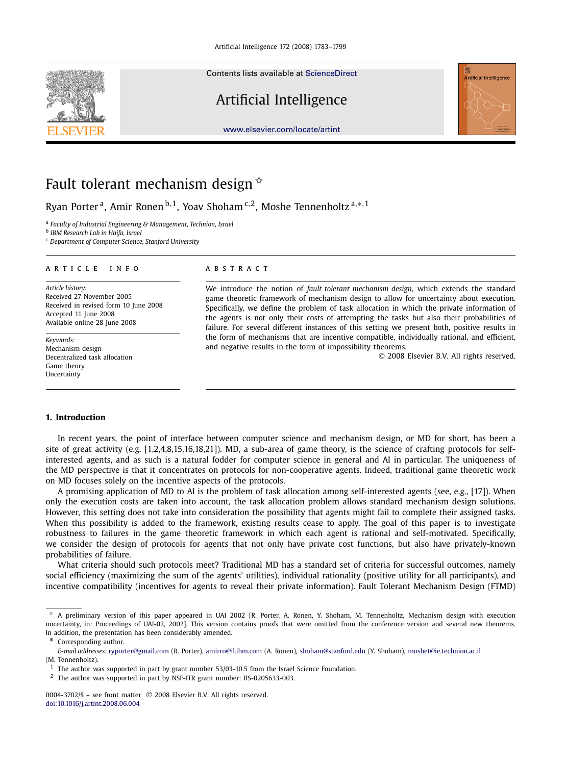Contents lists available at [ScienceDirect](http://www.ScienceDirect.com/)

# Artificial Intelligence

[www.elsevier.com/locate/artint](http://www.elsevier.com/locate/artint)



# Fault tolerant mechanism design  $\dot{x}$

Ryan Porter a, Amir Ronen <sup>b</sup>*,*1, Yoav Shoham <sup>c</sup>*,*2, Moshe Tennenholtz <sup>a</sup>*,*∗*,*<sup>1</sup>

<sup>a</sup> *Faculty of Industrial Engineering & Management, Technion, Israel*

<sup>b</sup> *IBM Research Lab in Haifa, Israel*

<sup>c</sup> *Department of Computer Science, Stanford University*

#### article info abstract

*Article history:* Received 27 November 2005 Received in revised form 10 June 2008 Accepted 11 June 2008 Available online 28 June 2008

*Keywords:* Mechanism design Decentralized task allocation Game theory Uncertainty

We introduce the notion of *fault tolerant mechanism design*, which extends the standard game theoretic framework of mechanism design to allow for uncertainty about execution. Specifically, we define the problem of task allocation in which the private information of the agents is not only their costs of attempting the tasks but also their probabilities of failure. For several different instances of this setting we present both, positive results in the form of mechanisms that are incentive compatible, individually rational, and efficient, and negative results in the form of impossibility theorems.

© 2008 Elsevier B.V. All rights reserved.

#### **1. Introduction**

In recent years, the point of interface between computer science and mechanism design, or MD for short, has been a site of great activity (e.g. [1,2,4,8,15,16,18,21]). MD, a sub-area of game theory, is the science of crafting protocols for selfinterested agents, and as such is a natural fodder for computer science in general and AI in particular. The uniqueness of the MD perspective is that it concentrates on protocols for non-cooperative agents. Indeed, traditional game theoretic work on MD focuses solely on the incentive aspects of the protocols.

A promising application of MD to AI is the problem of task allocation among self-interested agents (see, e.g., [17]). When only the execution costs are taken into account, the task allocation problem allows standard mechanism design solutions. However, this setting does not take into consideration the possibility that agents might fail to complete their assigned tasks. When this possibility is added to the framework, existing results cease to apply. The goal of this paper is to investigate robustness to failures in the game theoretic framework in which each agent is rational and self-motivated. Specifically, we consider the design of protocols for agents that not only have private cost functions, but also have privately-known probabilities of failure.

What criteria should such protocols meet? Traditional MD has a standard set of criteria for successful outcomes, namely social efficiency (maximizing the sum of the agents' utilities), individual rationality (positive utility for all participants), and incentive compatibility (incentives for agents to reveal their private information). Fault Tolerant Mechanism Design (FTMD)

Corresponding author.

 $*$  A preliminary version of this paper appeared in UAI 2002 [R. Porter, A. Ronen, Y. Shoham, M. Tennenholtz, Mechanism design with execution uncertainty, in: Proceedings of UAI-02, 2002]. This version contains proofs that were omitted from the conference version and several new theorems. In addition, the presentation has been considerably amended.

*E-mail addresses:* [ryporter@gmail.com](mailto:ryporter@gmail.com) (R. Porter), [amirro@il.ibm.com](mailto:amirro@il.ibm.com) (A. Ronen), [shoham@stanford.edu](mailto:shoham@stanford.edu) (Y. Shoham), [moshet@ie.technion.ac.il](mailto:moshet@ie.technion.ac.il) (M. Tennenholtz).

 $1$  The author was supported in part by grant number 53/03-10.5 from the Israel Science Foundation.

<sup>2</sup> The author was supported in part by NSF-ITR grant number: IIS-0205633-003.

<sup>0004-3702/\$ –</sup> see front matter © 2008 Elsevier B.V. All rights reserved. [doi:10.1016/j.artint.2008.06.004](http://dx.doi.org/10.1016/j.artint.2008.06.004)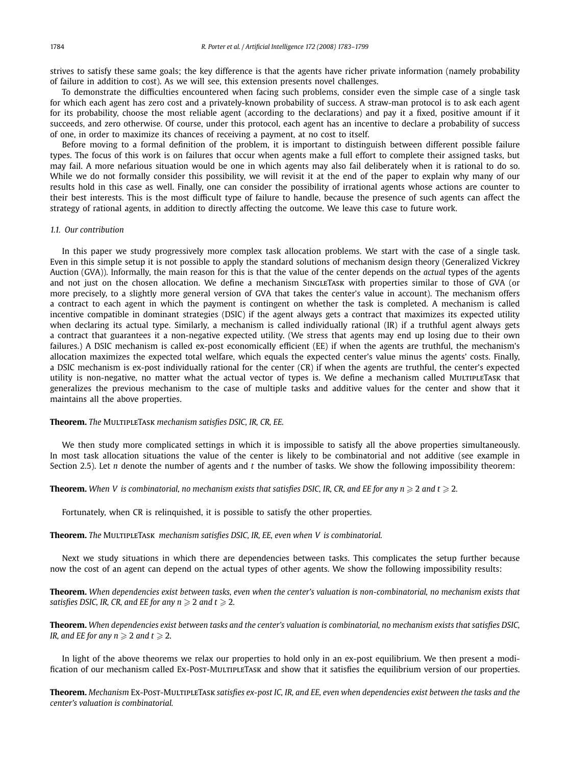strives to satisfy these same goals; the key difference is that the agents have richer private information (namely probability of failure in addition to cost). As we will see, this extension presents novel challenges.

To demonstrate the difficulties encountered when facing such problems, consider even the simple case of a single task for which each agent has zero cost and a privately-known probability of success. A straw-man protocol is to ask each agent for its probability, choose the most reliable agent (according to the declarations) and pay it a fixed, positive amount if it succeeds, and zero otherwise. Of course, under this protocol, each agent has an incentive to declare a probability of success of one, in order to maximize its chances of receiving a payment, at no cost to itself.

Before moving to a formal definition of the problem, it is important to distinguish between different possible failure types. The focus of this work is on failures that occur when agents make a full effort to complete their assigned tasks, but may fail. A more nefarious situation would be one in which agents may also fail deliberately when it is rational to do so. While we do not formally consider this possibility, we will revisit it at the end of the paper to explain why many of our results hold in this case as well. Finally, one can consider the possibility of irrational agents whose actions are counter to their best interests. This is the most difficult type of failure to handle, because the presence of such agents can affect the strategy of rational agents, in addition to directly affecting the outcome. We leave this case to future work.

#### *1.1. Our contribution*

In this paper we study progressively more complex task allocation problems. We start with the case of a single task. Even in this simple setup it is not possible to apply the standard solutions of mechanism design theory (Generalized Vickrey Auction (GVA)). Informally, the main reason for this is that the value of the center depends on the *actual* types of the agents and not just on the chosen allocation. We define a mechanism SINGLETASK with properties similar to those of GVA (or more precisely, to a slightly more general version of GVA that takes the center's value in account). The mechanism offers a contract to each agent in which the payment is contingent on whether the task is completed. A mechanism is called incentive compatible in dominant strategies (DSIC) if the agent always gets a contract that maximizes its expected utility when declaring its actual type. Similarly, a mechanism is called individually rational (IR) if a truthful agent always gets a contract that guarantees it a non-negative expected utility. (We stress that agents may end up losing due to their own failures.) A DSIC mechanism is called ex-post economically efficient (EE) if when the agents are truthful, the mechanism's allocation maximizes the expected total welfare, which equals the expected center's value minus the agents' costs. Finally, a DSIC mechanism is ex-post individually rational for the center (CR) if when the agents are truthful, the center's expected utility is non-negative, no matter what the actual vector of types is. We define a mechanism called MultipleTask that generalizes the previous mechanism to the case of multiple tasks and additive values for the center and show that it maintains all the above properties.

### **Theorem.** *The* MultipleTask *mechanism satisfies DSIC, IR, CR, EE.*

We then study more complicated settings in which it is impossible to satisfy all the above properties simultaneously. In most task allocation situations the value of the center is likely to be combinatorial and not additive (see example in Section 2.5). Let *n* denote the number of agents and *t* the number of tasks. We show the following impossibility theorem:

**Theorem.** When V is combinatorial, no mechanism exists that satisfies DSIC, IR, CR, and EE for any  $n\geqslant 2$  and  $t\geqslant 2$ .

Fortunately, when CR is relinquished, it is possible to satisfy the other properties.

**Theorem.** *The* MultipleTask *mechanism satisfies DSIC, IR, EE, even when V is combinatorial.*

Next we study situations in which there are dependencies between tasks. This complicates the setup further because now the cost of an agent can depend on the actual types of other agents. We show the following impossibility results:

**Theorem.** *When dependencies exist between tasks, even when the center's valuation is non-combinatorial, no mechanism exists that* satisfies DSIC, IR, CR, and EE for any  $n\geqslant 2$  and  $t\geqslant 2.$ 

**Theorem.** *When dependencies exist between tasks and the center's valuation is combinatorial, no mechanism exists that satisfies DSIC,* IR, and EE for any  $n \geqslant 2$  and  $t \geqslant 2$ .

In light of the above theorems we relax our properties to hold only in an ex-post equilibrium. We then present a modification of our mechanism called Ex-Post-MultipleTask and show that it satisfies the equilibrium version of our properties.

**Theorem.** *Mechanism* Ex-Post-MultipleTask *satisfies ex-post IC, IR, and EE, even when dependencies exist between the tasks and the center's valuation is combinatorial.*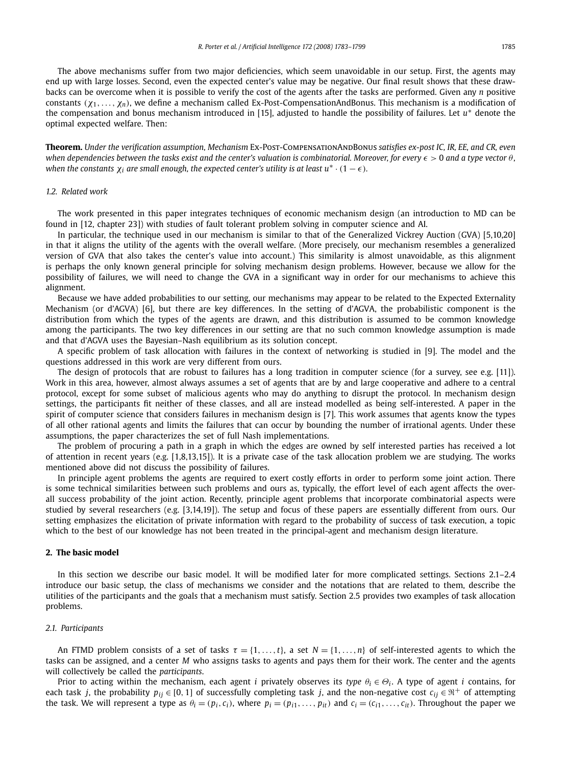The above mechanisms suffer from two major deficiencies, which seem unavoidable in our setup. First, the agents may end up with large losses. Second, even the expected center's value may be negative. Our final result shows that these drawbacks can be overcome when it is possible to verify the cost of the agents after the tasks are performed. Given any *n* positive constants *(χ*1*,...,χn)*, we define a mechanism called Ex-Post-CompensationAndBonus. This mechanism is a modification of the compensation and bonus mechanism introduced in [15], adjusted to handle the possibility of failures. Let *u*<sup>∗</sup> denote the optimal expected welfare. Then:

**Theorem.** *Under the verification assumption, Mechanism* Ex-Post-CompensationAndBonus *satisfies ex-post IC, IR, EE, and CR, even when dependencies between the tasks exist and the center's valuation is combinatorial. Moreover, for every*  $\epsilon > 0$  and a type vector  $\theta$ , *when the constants*  $\chi_i$  *are small enough, the expected center's utility is at least*  $u^* \cdot (1 - \epsilon)$ *.* 

#### *1.2. Related work*

The work presented in this paper integrates techniques of economic mechanism design (an introduction to MD can be found in [12, chapter 23]) with studies of fault tolerant problem solving in computer science and AI.

In particular, the technique used in our mechanism is similar to that of the Generalized Vickrey Auction (GVA) [5,10,20] in that it aligns the utility of the agents with the overall welfare. (More precisely, our mechanism resembles a generalized version of GVA that also takes the center's value into account.) This similarity is almost unavoidable, as this alignment is perhaps the only known general principle for solving mechanism design problems. However, because we allow for the possibility of failures, we will need to change the GVA in a significant way in order for our mechanisms to achieve this alignment.

Because we have added probabilities to our setting, our mechanisms may appear to be related to the Expected Externality Mechanism (or d'AGVA) [6], but there are key differences. In the setting of d'AGVA, the probabilistic component is the distribution from which the types of the agents are drawn, and this distribution is assumed to be common knowledge among the participants. The two key differences in our setting are that no such common knowledge assumption is made and that d'AGVA uses the Bayesian–Nash equilibrium as its solution concept.

A specific problem of task allocation with failures in the context of networking is studied in [9]. The model and the questions addressed in this work are very different from ours.

The design of protocols that are robust to failures has a long tradition in computer science (for a survey, see e.g. [11]). Work in this area, however, almost always assumes a set of agents that are by and large cooperative and adhere to a central protocol, except for some subset of malicious agents who may do anything to disrupt the protocol. In mechanism design settings, the participants fit neither of these classes, and all are instead modelled as being self-interested. A paper in the spirit of computer science that considers failures in mechanism design is [7]. This work assumes that agents know the types of all other rational agents and limits the failures that can occur by bounding the number of irrational agents. Under these assumptions, the paper characterizes the set of full Nash implementations.

The problem of procuring a path in a graph in which the edges are owned by self interested parties has received a lot of attention in recent years (e.g. [1,8,13,15]). It is a private case of the task allocation problem we are studying. The works mentioned above did not discuss the possibility of failures.

In principle agent problems the agents are required to exert costly efforts in order to perform some joint action. There is some technical similarities between such problems and ours as, typically, the effort level of each agent affects the overall success probability of the joint action. Recently, principle agent problems that incorporate combinatorial aspects were studied by several researchers (e.g. [3,14,19]). The setup and focus of these papers are essentially different from ours. Our setting emphasizes the elicitation of private information with regard to the probability of success of task execution, a topic which to the best of our knowledge has not been treated in the principal-agent and mechanism design literature.

### **2. The basic model**

In this section we describe our basic model. It will be modified later for more complicated settings. Sections 2.1–2.4 introduce our basic setup, the class of mechanisms we consider and the notations that are related to them, describe the utilities of the participants and the goals that a mechanism must satisfy. Section 2.5 provides two examples of task allocation problems.

#### *2.1. Participants*

An FTMD problem consists of a set of tasks  $\tau = \{1, \ldots, t\}$ , a set  $N = \{1, \ldots, n\}$  of self-interested agents to which the tasks can be assigned, and a center *M* who assigns tasks to agents and pays them for their work. The center and the agents will collectively be called the *participants*.

Prior to acting within the mechanism, each agent *i* privately observes its *type*  $\theta_i \in \Theta_i$ . A type of agent *i* contains, for each task *j*, the probability  $p_{ij} \in [0, 1]$  of successfully completing task *j*, and the non-negative cost  $c_{ij} \in \mathbb{R}^+$  of attempting the task. We will represent a type as  $\theta_i = (p_i, c_i)$ , where  $p_i = (p_{i1}, \ldots, p_{it})$  and  $c_i = (c_{i1}, \ldots, c_{it})$ . Throughout the paper we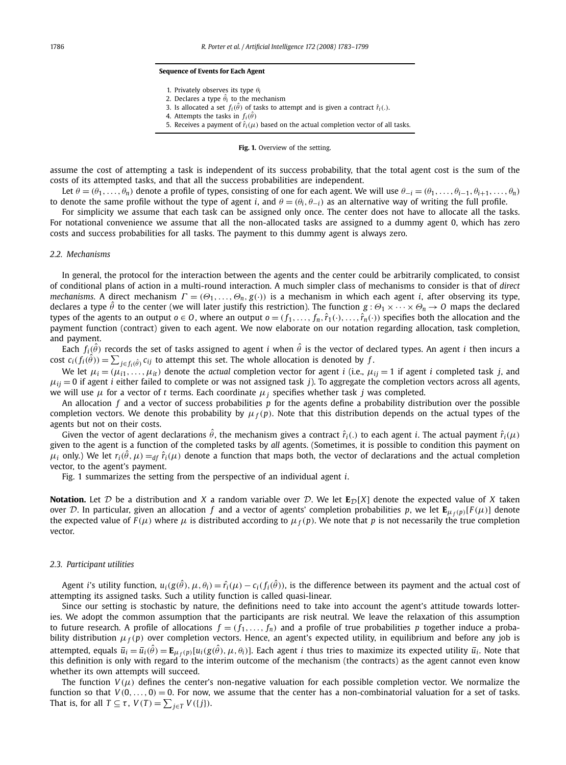#### **Sequence of Events for Each Agent**

- 1. Privately observes its type *θ<sup>i</sup>*
- 2. Declares a type  $\hat{\theta}_i$  to the mechanism
- 3. Is allocated a set  $f_i(\hat{\theta})$  of tasks to attempt and is given a contract  $\hat{r}_i(.)$ .
- 4. Attempts the tasks in  $f_i(\hat{\theta})$
- 5. Receives a payment of  $\hat{r}_i(\mu)$  based on the actual completion vector of all tasks.

#### **Fig. 1.** Overview of the setting.

assume the cost of attempting a task is independent of its success probability, that the total agent cost is the sum of the costs of its attempted tasks, and that all the success probabilities are independent.

Let  $\theta = (\theta_1, \dots, \theta_n)$  denote a profile of types, consisting of one for each agent. We will use  $\theta_{-i} = (\theta_1, \dots, \theta_{i-1}, \theta_{i+1}, \dots, \theta_n)$ to denote the same profile without the type of agent *i*, and  $\theta = (\theta_i, \theta_{-i})$  as an alternative way of writing the full profile.

For simplicity we assume that each task can be assigned only once. The center does not have to allocate all the tasks. For notational convenience we assume that all the non-allocated tasks are assigned to a dummy agent 0, which has zero costs and success probabilities for all tasks. The payment to this dummy agent is always zero.

#### *2.2. Mechanisms*

In general, the protocol for the interaction between the agents and the center could be arbitrarily complicated, to consist of conditional plans of action in a multi-round interaction. A much simpler class of mechanisms to consider is that of *direct mechanisms*. A direct mechanism  $\Gamma = (\Theta_1, \dots, \Theta_n, g(\cdot))$  is a mechanism in which each agent *i*, after observing its type, declares a type  $\hat{\theta}$  to the center (we will later justify this restriction). The function  $g : \Theta_1 \times \cdots \times \Theta_n \to 0$  maps the declared types of the agents to an output  $o \in O$ , where an output  $o = (f_1, \ldots, f_n, \hat{r}_1(\cdot), \ldots, \hat{r}_n(\cdot))$  specifies both the allocation and the payment function (contract) given to each agent. We now elaborate on our notation regarding allocation, task completion, and payment.

Each  $f_i(\hat{\theta})$  records the set of tasks assigned to agent *i* when  $\hat{\theta}$  is the vector of declared types. An agent *i* then incurs a  $\text{cost } c_i(f_i(\hat{\theta})) = \sum_{j \in f_i(\hat{\theta})} c_{ij}$  to attempt this set. The whole allocation is denoted by  $f$ .

We let  $\mu_i = (\mu_{i1}, \ldots, \mu_{it})$  denote the *actual* completion vector for agent *i* (i.e.,  $\mu_{ij} = 1$  if agent *i* completed task *j*, and  $\mu_{ij} = 0$  if agent *i* either failed to complete or was not assigned task *j*). To aggregate the completion vectors across all agents, we will use  $\mu$  for a vector of *t* terms. Each coordinate  $\mu_j$  specifies whether task *j* was completed.

An allocation *f* and a vector of success probabilities *p* for the agents define a probability distribution over the possible completion vectors. We denote this probability by  $\mu_f(p)$ . Note that this distribution depends on the actual types of the agents but not on their costs.

Given the vector of agent declarations  $\hat{\theta}$ , the mechanism gives a contract  $\hat{r}_i(\cdot)$  to each agent *i*. The actual payment  $\hat{r}_i(\mu)$ given to the agent is a function of the completed tasks by *all* agents. (Sometimes, it is possible to condition this payment on  $μ$ <sub>*i*</sub> only.) We let  $r_i(\hat{\theta}, μ) =_{df} \hat{r}_i(μ)$  denote a function that maps both, the vector of declarations and the actual completion vector, to the agent's payment.

Fig. 1 summarizes the setting from the perspective of an individual agent *i*.

**Notation.** Let  $D$  be a distribution and *X* a random variable over  $D$ . We let  $E_D[X]$  denote the expected value of *X* taken over D. In particular, given an allocation f and a vector of agents' completion probabilities p, we let  $\mathbf{E}_{\mu_f(p)}[F(\mu)]$  denote the expected value of  $F(\mu)$  where  $\mu$  is distributed according to  $\mu_f(p)$ . We note that p is not necessarily the true completion vector.

#### *2.3. Participant utilities*

Agent i's utility function,  $u_i(g(\hat{\theta}), \mu, \theta_i) = \hat{r}_i(\mu) - c_i(f_i(\hat{\theta}))$ , is the difference between its payment and the actual cost of attempting its assigned tasks. Such a utility function is called quasi-linear.

Since our setting is stochastic by nature, the definitions need to take into account the agent's attitude towards lotteries. We adopt the common assumption that the participants are risk neutral. We leave the relaxation of this assumption to future research. A profile of allocations  $f = (f_1, \ldots, f_n)$  and a profile of true probabilities p together induce a probability distribution  $\mu_f(p)$  over completion vectors. Hence, an agent's expected utility, in equilibrium and before any job is attempted, equals  $\bar{u}_i = \bar{u}_i(\hat{\theta}) = \mathbf{E}_{\mu_f(p)}[u_i(g(\hat{\theta}), \mu, \theta_i)]$ . Each agent *i* thus tries to maximize its expected utility  $\bar{u}_i$ . Note that this definition is only with regard to the interim outcome of the mechanism (the contracts) as the agent cannot even know whether its own attempts will succeed.

The function  $V(\mu)$  defines the center's non-negative valuation for each possible completion vector. We normalize the function so that  $V(0,\ldots,0) = 0$ . For now, we assume that the center has a non-combinatorial valuation for a set of tasks. That is, for all  $T \subseteq \tau$ ,  $V(T) = \sum_{j \in T} V(\{j\}).$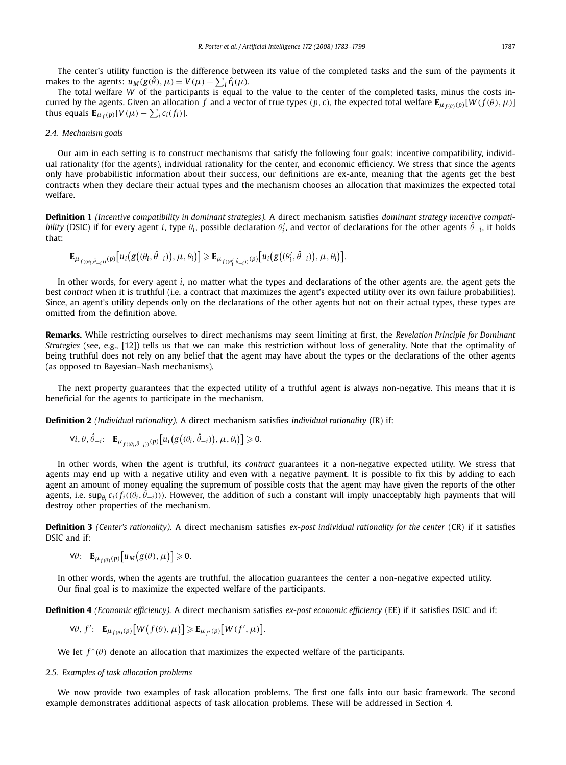The center's utility function is the difference between its value of the completed tasks and the sum of the payments it makes to the agents:  $u_M(g(\hat{\theta}), \mu) = V(\mu) - \sum_i \hat{r}_i(\mu)$ .

The total welfare *W* of the participants is equal to the value to the center of the completed tasks, minus the costs incurred by the agents. Given an allocation f and a vector of true types (p, c), the expected total welfare  $\mathbf{E}_{u_{\epsilon(\alpha)}(p)}[W(f(\theta),\mu)]$ thus equals  $\mathbf{E}_{\mu_f(p)}[V(\mu) - \sum_i c_i(f_i)].$ 

#### *2.4. Mechanism goals*

Our aim in each setting is to construct mechanisms that satisfy the following four goals: incentive compatibility, individual rationality (for the agents), individual rationality for the center, and economic efficiency. We stress that since the agents only have probabilistic information about their success, our definitions are ex-ante, meaning that the agents get the best contracts when they declare their actual types and the mechanism chooses an allocation that maximizes the expected total welfare.

**Definition 1** *(Incentive compatibility in dominant strategies).* A direct mechanism satisfies *dominant strategy incentive compatibility* (DSIC) if for every agent *i*, type  $\theta_i$ , possible declaration  $\theta'_i$ , and vector of declarations for the other agents  $\hat{\theta}_{-i}$ , it holds that:

$$
\mathbf{E}_{\mu_{f((\theta_i,\hat{\theta}_{-i}))}(p)}[u_i(g((\theta_i,\hat{\theta}_{-i})),\mu,\theta_i)] \geqslant \mathbf{E}_{\mu_{f((\theta'_i,\hat{\theta}_{-i}))}(p)}[u_i(g((\theta'_i,\hat{\theta}_{-i})),\mu,\theta_i)].
$$

In other words, for every agent *i*, no matter what the types and declarations of the other agents are, the agent gets the best *contract* when it is truthful (i.e. a contract that maximizes the agent's expected utility over its own failure probabilities). Since, an agent's utility depends only on the declarations of the other agents but not on their actual types, these types are omitted from the definition above.

**Remarks.** While restricting ourselves to direct mechanisms may seem limiting at first, the *Revelation Principle for Dominant Strategies* (see, e.g., [12]) tells us that we can make this restriction without loss of generality. Note that the optimality of being truthful does not rely on any belief that the agent may have about the types or the declarations of the other agents (as opposed to Bayesian–Nash mechanisms).

The next property guarantees that the expected utility of a truthful agent is always non-negative. This means that it is beneficial for the agents to participate in the mechanism.

**Definition 2** *(Individual rationality).* A direct mechanism satisfies *individual rationality* (IR) if:

$$
\forall i, \theta, \hat{\theta}_{-i}: \mathbf{E}_{\mu_{f((\theta_i, \hat{\theta}_{-i}))}(p)}[u_i(g((\theta_i, \hat{\theta}_{-i})), \mu, \theta_i)] \geq 0.
$$

In other words, when the agent is truthful, its *contract* guarantees it a non-negative expected utility. We stress that agents may end up with a negative utility and even with a negative payment. It is possible to fix this by adding to each agent an amount of money equaling the supremum of possible costs that the agent may have given the reports of the other agents, i.e.  $\sup_{\theta_i} c_i(f_i((\theta_i, \hat{\theta}_{-i})))$ . However, the addition of such a constant will imply unacceptably high payments that will destroy other properties of the mechanism.

**Definition 3** *(Center's rationality).* A direct mechanism satisfies *ex-post individual rationality for the center* (CR) if it satisfies DSIC and if:

$$
\forall \theta \colon \mathbf{E}_{\mu_{f(\theta)}(p)}[u_M(g(\theta), \mu)] \geq 0.
$$

In other words, when the agents are truthful, the allocation guarantees the center a non-negative expected utility. Our final goal is to maximize the expected welfare of the participants.

**Definition 4** *(Economic efficiency).* A direct mechanism satisfies *ex-post economic efficiency* (EE) if it satisfies DSIC and if:

$$
\forall \theta, f' \colon \mathbf{E}_{\mu_{f(\theta)}(p)}[W\big(f(\theta), \mu\big)] \geqslant \mathbf{E}_{\mu_{f'}(p)}[W\big(f', \mu\big)].
$$

We let *f* <sup>∗</sup>*(θ)* denote an allocation that maximizes the expected welfare of the participants.

#### *2.5. Examples of task allocation problems*

We now provide two examples of task allocation problems. The first one falls into our basic framework. The second example demonstrates additional aspects of task allocation problems. These will be addressed in Section 4.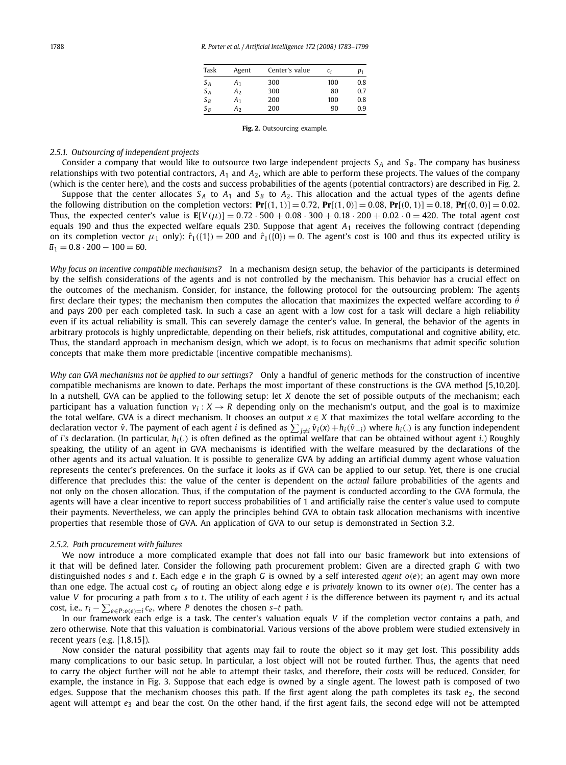| Task  | Agent          | Center's value | Сi  | рi  |
|-------|----------------|----------------|-----|-----|
| $S_A$ | A <sub>1</sub> | 300            | 100 | 0.8 |
| $S_A$ | A <sub>2</sub> | 300            | 80  | 0.7 |
| $S_B$ | A <sub>1</sub> | 200            | 100 | 0.8 |
| $S_B$ | A <sub>2</sub> | 200            | 90  | 0.9 |

**Fig. 2.** Outsourcing example.

#### *2.5.1. Outsourcing of independent projects*

Consider a company that would like to outsource two large independent projects  $S_A$  and  $S_B$ . The company has business relationships with two potential contractors,  $A_1$  and  $A_2$ , which are able to perform these projects. The values of the company (which is the center here), and the costs and success probabilities of the agents (potential contractors) are described in Fig. 2.

Suppose that the center allocates  $S_A$  to  $A_1$  and  $S_B$  to  $A_2$ . This allocation and the actual types of the agents define the following distribution on the completion vectors:  $Pr[(1, 1)] = 0.72$ ,  $Pr[(1, 0)] = 0.08$ ,  $Pr[(0, 1)] = 0.18$ ,  $Pr[(0, 0)] = 0.02$ . Thus, the expected center's value is  $E[V(\mu)]=0.72 \cdot 500 + 0.08 \cdot 300 + 0.18 \cdot 200 + 0.02 \cdot 0 = 420$ . The total agent cost equals 190 and thus the expected welfare equals 230. Suppose that agent *A*<sup>1</sup> receives the following contract (depending on its completion vector  $\mu_1$  only):  $\hat{r}_1(\{1\}) = 200$  and  $\hat{r}_1(\{0\}) = 0$ . The agent's cost is 100 and thus its expected utility is  $\overline{u}_1 = 0.8 \cdot 200 - 100 = 60.$ 

*Why focus on incentive compatible mechanisms?* In a mechanism design setup, the behavior of the participants is determined by the selfish considerations of the agents and is not controlled by the mechanism. This behavior has a crucial effect on the outcomes of the mechanism. Consider, for instance, the following protocol for the outsourcing problem: The agents first declare their types; the mechanism then computes the allocation that maximizes the expected welfare according to  $\hat{\theta}$ and pays 200 per each completed task. In such a case an agent with a low cost for a task will declare a high reliability even if its actual reliability is small. This can severely damage the center's value. In general, the behavior of the agents in arbitrary protocols is highly unpredictable, depending on their beliefs, risk attitudes, computational and cognitive ability, etc. Thus, the standard approach in mechanism design, which we adopt, is to focus on mechanisms that admit specific solution concepts that make them more predictable (incentive compatible mechanisms).

*Why can GVA mechanisms not be applied to our settings?* Only a handful of generic methods for the construction of incentive compatible mechanisms are known to date. Perhaps the most important of these constructions is the GVA method [5,10,20]. In a nutshell, GVA can be applied to the following setup: let *X* denote the set of possible outputs of the mechanism; each participant has a valuation function  $v_i : X \to R$  depending only on the mechanism's output, and the goal is to maximize the total welfare. GVA is a direct mechanism. It chooses an output *x* ∈ *X* that maximizes the total welfare according to the declaration vector  $\hat{v}$ . The payment of each agent  $i$  is defined as  $\sum_{j\neq i}\hat{v}_i(x)+h_i(\hat{v}_{-i})$  where  $h_i(.)$  is any function independent of *i*'s declaration. (In particular, *hi(.)* is often defined as the optimal welfare that can be obtained without agent *i*.) Roughly speaking, the utility of an agent in GVA mechanisms is identified with the welfare measured by the declarations of the other agents and its actual valuation. It is possible to generalize GVA by adding an artificial dummy agent whose valuation represents the center's preferences. On the surface it looks as if GVA can be applied to our setup. Yet, there is one crucial difference that precludes this: the value of the center is dependent on the *actual* failure probabilities of the agents and not only on the chosen allocation. Thus, if the computation of the payment is conducted according to the GVA formula, the agents will have a clear incentive to report success probabilities of 1 and artificially raise the center's value used to compute their payments. Nevertheless, we can apply the principles behind GVA to obtain task allocation mechanisms with incentive properties that resemble those of GVA. An application of GVA to our setup is demonstrated in Section 3.2.

#### *2.5.2. Path procurement with failures*

We now introduce a more complicated example that does not fall into our basic framework but into extensions of it that will be defined later. Consider the following path procurement problem: Given are a directed graph *G* with two distinguished nodes *s* and *t*. Each edge *e* in the graph *G* is owned by a self interested *agent o(e)*; an agent may own more than one edge. The actual cost *ce* of routing an object along edge *e* is *privately* known to its owner *o(e)*. The center has a value *V* for procuring a path from *s* to *t*. The utility of each agent *i* is the difference between its payment *ri* and its actual cost, i.e.,  $r_i - \sum_{e \in P: o(e) = i} c_e$ , where *P* denotes the chosen *s*-*t* path.

In our framework each edge is a task. The center's valuation equals *V* if the completion vector contains a path, and zero otherwise. Note that this valuation is combinatorial. Various versions of the above problem were studied extensively in recent years (e.g. [1,8,15]).

Now consider the natural possibility that agents may fail to route the object so it may get lost. This possibility adds many complications to our basic setup. In particular, a lost object will not be routed further. Thus, the agents that need to carry the object further will not be able to attempt their tasks, and therefore, their *costs* will be reduced. Consider, for example, the instance in Fig. 3. Suppose that each edge is owned by a single agent. The lowest path is composed of two edges. Suppose that the mechanism chooses this path. If the first agent along the path completes its task  $e_2$ , the second agent will attempt *e*<sup>3</sup> and bear the cost. On the other hand, if the first agent fails, the second edge will not be attempted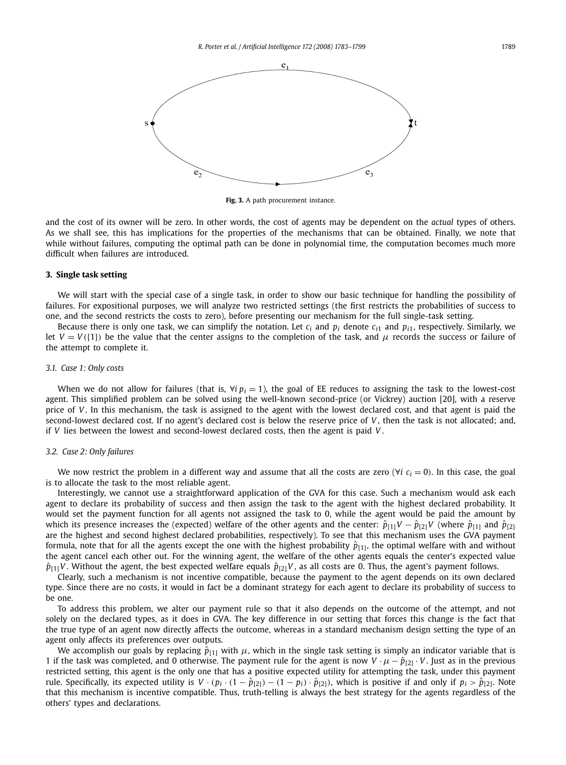

**Fig. 3.** A path procurement instance.

and the cost of its owner will be zero. In other words, the cost of agents may be dependent on the *actual* types of others. As we shall see, this has implications for the properties of the mechanisms that can be obtained. Finally, we note that while without failures, computing the optimal path can be done in polynomial time, the computation becomes much more difficult when failures are introduced.

#### **3. Single task setting**

We will start with the special case of a single task, in order to show our basic technique for handling the possibility of failures. For expositional purposes, we will analyze two restricted settings (the first restricts the probabilities of success to one, and the second restricts the costs to zero), before presenting our mechanism for the full single-task setting.

Because there is only one task, we can simplify the notation. Let  $c_i$  and  $p_i$  denote  $c_{i1}$  and  $p_{i1}$ , respectively. Similarly, we let  $V = V({1})$  be the value that the center assigns to the completion of the task, and  $\mu$  records the success or failure of the attempt to complete it.

#### *3.1. Case 1: Only costs*

When we do not allow for failures (that is,  $\forall i \, p_i = 1$ ), the goal of EE reduces to assigning the task to the lowest-cost agent. This simplified problem can be solved using the well-known second-price (or Vickrey) auction [20], with a reserve price of *V* . In this mechanism, the task is assigned to the agent with the lowest declared cost, and that agent is paid the second-lowest declared cost. If no agent's declared cost is below the reserve price of *V* , then the task is not allocated; and, if *V* lies between the lowest and second-lowest declared costs, then the agent is paid *V* .

#### *3.2. Case 2: Only failures*

We now restrict the problem in a different way and assume that all the costs are zero ( $\forall i$   $c_i = 0$ ). In this case, the goal is to allocate the task to the most reliable agent.

Interestingly, we cannot use a straightforward application of the GVA for this case. Such a mechanism would ask each agent to declare its probability of success and then assign the task to the agent with the highest declared probability. It would set the payment function for all agents not assigned the task to 0, while the agent would be paid the amount by which its presence increases the (expected) welfare of the other agents and the center:  $\hat{p}_{11}V - \hat{p}_{12}V$  (where  $\hat{p}_{11}$  and  $\hat{p}_{12}$ ) are the highest and second highest declared probabilities, respectively). To see that this mechanism uses the GVA payment formula, note that for all the agents except the one with the highest probability  $\hat{p}_{11}$ , the optimal welfare with and without the agent cancel each other out. For the winning agent, the welfare of the other agents equals the center's expected value  $\hat{p}_{11}$ *V*. Without the agent, the best expected welfare equals  $\hat{p}_{12}$ *V*, as all costs are 0. Thus, the agent's payment follows.

Clearly, such a mechanism is not incentive compatible, because the payment to the agent depends on its own declared type. Since there are no costs, it would in fact be a dominant strategy for each agent to declare its probability of success to be one.

To address this problem, we alter our payment rule so that it also depends on the outcome of the attempt, and not solely on the declared types, as it does in GVA. The key difference in our setting that forces this change is the fact that the true type of an agent now directly affects the outcome, whereas in a standard mechanism design setting the type of an agent only affects its preferences over outputs.

We accomplish our goals by replacing  $\hat{p}_{11}$  with  $\mu$ , which in the single task setting is simply an indicator variable that is 1 if the task was completed, and 0 otherwise. The payment rule for the agent is now  $V \cdot \mu - \hat{p}_{121} \cdot V$ . Just as in the previous restricted setting, this agent is the only one that has a positive expected utility for attempting the task, under this payment rule. Specifically, its expected utility is  $V \cdot (p_i \cdot (1 - \hat{p}_{[2]}) - (1 - p_i) \cdot \hat{p}_{[2]})$ , which is positive if and only if  $p_i > \hat{p}_{[2]}$ . Note that this mechanism is incentive compatible. Thus, truth-telling is always the best strategy for the agents regardless of the others' types and declarations.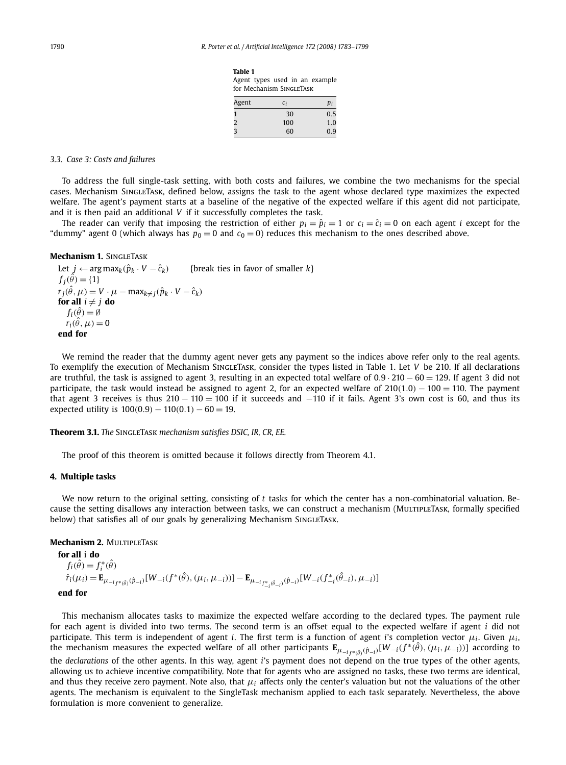**Table 1** Agent types used in an example for Mechanism SINGLETASK

| Agent | $c_i$ | $p_i$ |
|-------|-------|-------|
|       | 30    | 0.5   |
| 2     | 100   | 1.0   |
| 3     | 60    | 0.9   |

#### *3.3. Case 3: Costs and failures*

To address the full single-task setting, with both costs and failures, we combine the two mechanisms for the special cases. Mechanism SingleTask, defined below, assigns the task to the agent whose declared type maximizes the expected welfare. The agent's payment starts at a baseline of the negative of the expected welfare if this agent did not participate, and it is then paid an additional *V* if it successfully completes the task.

The reader can verify that imposing the restriction of either  $p_i = \hat{p}_i = 1$  or  $c_i = \hat{c}_i = 0$  on each agent *i* except for the "dummy" agent 0 (which always has  $p_0 = 0$  and  $c_0 = 0$ ) reduces this mechanism to the ones described above.

# **Mechanism 1. SINGLETASK**

Let *j* ← arg max<sub>*k*</sub>( $\hat{p}_k \cdot V - \hat{c}_k$ ) {break ties in favor of smaller *k*}  $f_i(\hat{\theta}) = \{1\}$  $r_j(\hat{\theta}, \mu) = V \cdot \mu - \max_{k \neq j} (\hat{p}_k \cdot V - \hat{c}_k)$ **for all**  $i \neq j$  **do**  $f_i(\hat{\theta}) = \emptyset$  $r_i(\hat{\theta}, \mu) = 0$ **end for**

We remind the reader that the dummy agent never gets any payment so the indices above refer only to the real agents. To exemplify the execution of Mechanism SingleTask, consider the types listed in Table 1. Let *V* be 210. If all declarations are truthful, the task is assigned to agent 3, resulting in an expected total welfare of 0*.*9 · 210 − 60 = 129. If agent 3 did not participate, the task would instead be assigned to agent 2, for an expected welfare of 210*(*1*.*0*)* − 100 = 110. The payment that agent 3 receives is thus  $210 - 110 = 100$  if it succeeds and  $-110$  if it fails. Agent 3's own cost is 60, and thus its expected utility is  $100(0.9) - 110(0.1) - 60 = 19$ .

#### **Theorem 3.1.** *The* SingleTask *mechanism satisfies DSIC, IR, CR, EE.*

The proof of this theorem is omitted because it follows directly from Theorem 4.1.

#### **4. Multiple tasks**

We now return to the original setting, consisting of *t* tasks for which the center has a non-combinatorial valuation. Because the setting disallows any interaction between tasks, we can construct a mechanism (MultipleTask, formally specified below) that satisfies all of our goals by generalizing Mechanism SINGLETASK.

# **Mechanism 2.** MultipleTask

**for all** i **do**  
\n
$$
f_i(\hat{\theta}) = f_i^*(\hat{\theta})
$$
\n
$$
\hat{r}_i(\mu_i) = \mathbf{E}_{\mu_{-i}f^*(\hat{\theta})}(\hat{p}_{-i})[W_{-i}(f^*(\hat{\theta}), (\mu_i, \mu_{-i}))] - \mathbf{E}_{\mu_{-i}f^*(\hat{\theta}_{-i})}(\hat{p}_{-i})[W_{-i}(f^*_{-i}(\hat{\theta}_{-i}), \mu_{-i})]
$$
\n**end for**

This mechanism allocates tasks to maximize the expected welfare according to the declared types. The payment rule for each agent is divided into two terms. The second term is an offset equal to the expected welfare if agent *i* did not participate. This term is independent of agent *i*. The first term is a function of agent *i*'s completion vector  $\mu_i$ . Given  $\mu_i$ , the mechanism measures the expected welfare of all other participants  $\mathbf{E}_{\mu_{-i} f^*(\hat{\theta})}$  $[W_{-i}(f^*(\hat{\theta}), (\mu_i, \mu_{-i}))]$  according to the *declarations* of the other agents. In this way, agent *i*'s payment does not depend on the true types of the other agents, allowing us to achieve incentive compatibility. Note that for agents who are assigned no tasks, these two terms are identical, and thus they receive zero payment. Note also, that  $\mu_i$  affects only the center's valuation but not the valuations of the other agents. The mechanism is equivalent to the SingleTask mechanism applied to each task separately. Nevertheless, the above formulation is more convenient to generalize.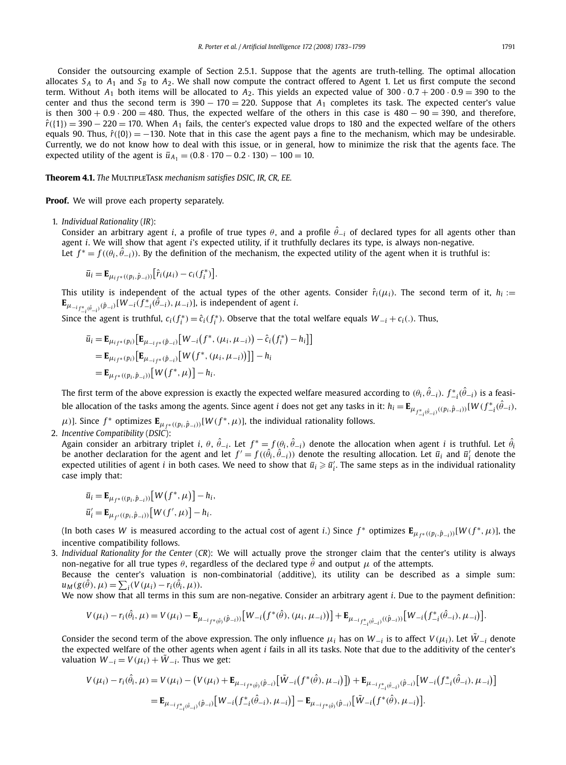Consider the outsourcing example of Section 2.5.1. Suppose that the agents are truth-telling. The optimal allocation allocates  $S_A$  to  $A_1$  and  $S_B$  to  $A_2$ . We shall now compute the contract offered to Agent 1. Let us first compute the second term. Without  $A_1$  both items will be allocated to  $A_2$ . This yields an expected value of 300 · 0.7 + 200 · 0.9 = 390 to the center and thus the second term is  $390 - 170 = 220$ . Suppose that  $A_1$  completes its task. The expected center's value is then  $300 + 0.9 \cdot 200 = 480$ . Thus, the expected welfare of the others in this case is  $480 - 90 = 390$ , and therefore,  $\hat{r}(1)$  = 390 – 220 = 170. When  $A_1$  fails, the center's expected value drops to 180 and the expected welfare of the others equals 90. Thus,  $\hat{r}(\{0\}) = -130$ . Note that in this case the agent pays a fine to the mechanism, which may be undesirable. Currently, we do not know how to deal with this issue, or in general, how to minimize the risk that the agents face. The expected utility of the agent is  $\bar{u}_{A_1} = (0.8 \cdot 170 - 0.2 \cdot 130) - 100 = 10$ .

#### **Theorem 4.1.** *The* MultipleTask *mechanism satisfies DSIC, IR, CR, EE.*

**Proof.** We will prove each property separately.

1. *Individual Rationality* (*IR*):

Consider an arbitrary agent *i*, a profile of true types *θ* , and a profile *θ*ˆ −*<sup>i</sup>* of declared types for all agents other than agent *i*. We will show that agent *i*'s expected utility, if it truthfully declares its type, is always non-negative. Let  $f^* = f((\theta_i, \hat{\theta}_{-i}))$ . By the definition of the mechanism, the expected utility of the agent when it is truthful is:

$$
\overline{u}_i = \mathbf{E}_{\mu_{if^*}((p_i, \hat{p}_{-i}))} [\hat{r}_i(\mu_i) - c_i(f_i^*)].
$$

This utility is independent of the actual types of the other agents. Consider  $\hat{r}_i(\mu_i)$ . The second term of it,  $h_i :=$  $\mathbf{E}_{\mu_{-i}f_{-i}^*(\hat{\theta}_{-i})}(\hat{p}_{-i})[W_{-i}(f_{-i}^*(\hat{\theta}_{-i}),\mu_{-i})],$  is independent of agent *i*.

Since the agent is truthful,  $c_i(f_i^*) = \hat{c}_i(f_i^*)$ . Observe that the total welfare equals  $W_{-i} + c_i(.)$ . Thus,

$$
\overline{u}_{i} = \mathbf{E}_{\mu_{i}f^{*}(p_{i})} [\mathbf{E}_{\mu_{-i}f^{*}(\hat{p}_{-i})} [W_{-i}(f^{*}, (\mu_{i}, \mu_{-i})) - \hat{c}_{i}(f^{*}_{i}) - h_{i}]]
$$
\n
$$
= \mathbf{E}_{\mu_{i}f^{*}(p_{i})} [\mathbf{E}_{\mu_{-i}f^{*}(\hat{p}_{-i})} [W(f^{*}, (\mu_{i}, \mu_{-i}))]] - h_{i}
$$
\n
$$
= \mathbf{E}_{\mu_{f^{*}}((p_{i}, \hat{p}_{-i}))} [W(f^{*}, \mu)] - h_{i}.
$$

The first term of the above expression is exactly the expected welfare measured according to  $(\theta_i,\hat\theta_{-i})$ .  $f_{-i}^*(\hat\theta_{-i})$  is a feasible allocation of the tasks among the agents. Since agent *i* does not get any tasks in it:  $h_i = \mathbf{E}_{\mu_{f_{-i}^*(\hat{\theta}_{-i})}((p_i, \hat{p}_{-i}))}[W(f_{-i}^*(\hat{\theta}_{-i}),$ 

*μ*)]. Since *f*<sup>∗</sup> optimizes **E**<sub>μ<sub>*f*</sub><sup>\*</sup>((*p<sub>i</sub>*, $\hat{p}_{-i}$ ))[*W* (*f*<sup>\*</sup>, *μ*)], the individual rationality follows.</sub>

# 2. *Incentive Compatibility* (*DSIC*):

Again consider an arbitrary triplet *i,*  $\theta$ *,*  $\hat{\theta}_{-i}$ *.* Let  $f^*=f(\theta_i,\hat{\theta}_{-i})$  denote the allocation when agent *i* is truthful. Let  $\hat{\theta}_i$ be another declaration for the agent and let  $f' = f((\hat{\theta}_i, \hat{\theta}_{-i}))$  denote the resulting allocation. Let  $\bar{u}_i$  and  $\bar{u}'_i$  denote the expected utilities of agent *i* in both cases. We need to show that  $\bar{u}_i \geqslant \bar{u}'_i$ . The same steps as in the individual rationality case imply that:

$$
\overline{u}_i = \mathbf{E}_{\mu_{f^*}((p_i, \hat{p}_{-i}))}[W(f^*, \mu)] - h_i,
$$
  
\n
$$
\overline{u}'_i = \mathbf{E}_{\mu_{f'}((p_i, \hat{p}_{-i}))}[W(f', \mu)] - h_i.
$$

(In both cases W is measured according to the actual cost of agent i.) Since  $f^*$  optimizes  $\mathbf{E}_{\mu_{f^*}((p_i,\hat{p}_{-i}))}[W(f^*,\mu)]$ , the incentive compatibility follows.

- 3. *Individual Rationality for the Center* (*CR*): We will actually prove the stronger claim that the center's utility is always non-negative for all true types  $\theta$ , regardless of the declared type  $\hat{\theta}$  and output *μ* of the attempts.
- Because the center's valuation is non-combinatorial (additive), its utility can be described as a simple sum:  $u_M(g(\hat{\theta}), \mu) = \sum_i (V(\mu_i) - r_i(\hat{\theta}_i, \mu)).$

We now show that all terms in this sum are non-negative. Consider an arbitrary agent *i*. Due to the payment definition:

$$
V(\mu_i) - r_i(\hat{\theta}_i, \mu) = V(\mu_i) - \mathbf{E}_{\mu_{-i}f^*(\hat{\theta})}(\hat{p}_{-i}) \left[W_{-i}(f^*(\hat{\theta}), (\mu_i, \mu_{-i}))\right] + \mathbf{E}_{\mu_{-i}f^*_{-i}(\hat{\theta}_{-i})}((\hat{p}_{-i})) \left[W_{-i}(f^*(\hat{\theta}_{-i}), \mu_{-i})\right].
$$

Consider the second term of the above expression. The only influence  $\mu_i$  has on  $W_{-i}$  is to affect  $V(\mu_i)$ . Let  $\tilde{W}_{-i}$  denote the expected welfare of the other agents when agent *i* fails in all its tasks. Note that due to the additivity of the center's valuation  $W_{-i} = V(\mu_i) + \tilde{W}_{-i}$ . Thus we get:

$$
V(\mu_i) - r_i(\hat{\theta}_i, \mu) = V(\mu_i) - (V(\mu_i) + \mathbf{E}_{\mu_{-i_f * (\hat{\theta})}(\hat{p}_{-i})} [\tilde{W}_{-i}(f^*(\hat{\theta}), \mu_{-i})]) + \mathbf{E}_{\mu_{-i_f * (\hat{\theta}_{-i})}(\hat{p}_{-i})} [W_{-i}(f^*_{-i}(\hat{\theta}_{-i}), \mu_{-i})]
$$
  
= 
$$
\mathbf{E}_{\mu_{-i_f * (\hat{\theta}_{-i})}(\hat{p}_{-i})} [W_{-i}(f^*_{-i}(\hat{\theta}_{-i}), \mu_{-i})] - \mathbf{E}_{\mu_{-i_f * (\hat{\theta})}(\hat{p}_{-i})} [\tilde{W}_{-i}(f^*(\hat{\theta}), \mu_{-i})].
$$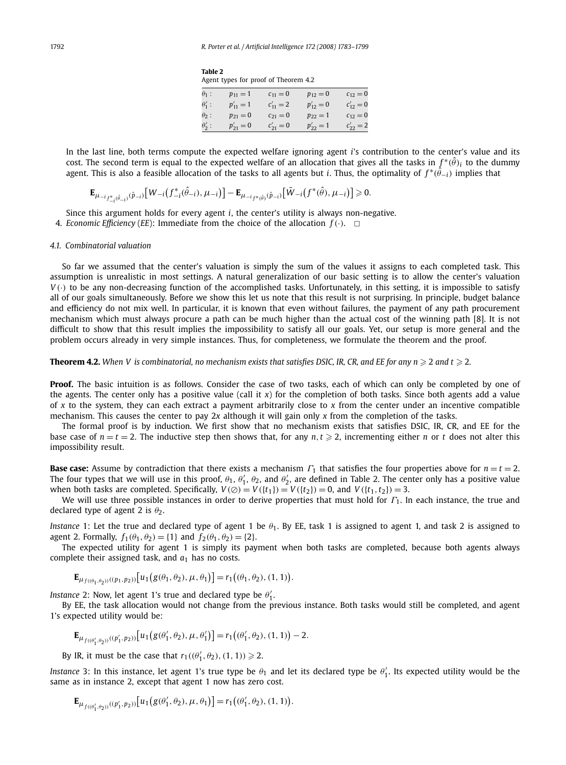| Table 2      |                                      |              |              |
|--------------|--------------------------------------|--------------|--------------|
|              | Agent types for proof of Theorem 4.2 |              |              |
| $\theta_1$ : | $p_{11} = 1$                         | $c_{11} = 0$ | $p_{12} = 0$ |

| $\theta_1$ : | $p_{11} = 1$  | $c_{11} = 0$  | $p_{12} = 0$  | $c_{12}=0$    |
|--------------|---------------|---------------|---------------|---------------|
| $\theta_1':$ | $p'_{11} = 1$ | $c'_{11} = 2$ | $p'_{12} = 0$ | $c'_{12} = 0$ |
| $\theta_2$ : | $p_{21} = 0$  | $c_{21} = 0$  | $p_{22} = 1$  | $c_{12} = 0$  |
| $\theta_2':$ | $p'_{21} = 0$ | $c'_{21} = 0$ | $p'_{22} = 1$ | $c'_{22} = 2$ |

In the last line, both terms compute the expected welfare ignoring agent *i*'s contribution to the center's value and its cost. The second term is equal to the expected welfare of an allocation that gives all the tasks in  $f^*(\hat{\theta})_i$  to the dummy agent. This is also a feasible allocation of the tasks to all agents but *i*. Thus, the optimality of *f* <sup>∗</sup>*(θ*ˆ −*i)* implies that

 $\mathbf{E}_{\mu_{-i}f_{-i}^*(\hat{\theta}_{-i})}(\hat{p}_{-i})\big[W_{-i}(f_{-i}^*(\hat{\theta}_{-i}),\mu_{-i})\big]-\mathbf{E}_{\mu_{-i}f^*(\hat{\theta})}(\hat{p}_{-i})\big[\tilde{W}_{-i}(f^*(\hat{\theta}),\mu_{-i})\big]\geqslant 0.$ −*i*

Since this argument holds for every agent *i*, the center's utility is always non-negative.

4. *Economic Efficiency* (*EE*): Immediate from the choice of the allocation  $f(\cdot)$ .  $\Box$ 

#### *4.1. Combinatorial valuation*

So far we assumed that the center's valuation is simply the sum of the values it assigns to each completed task. This assumption is unrealistic in most settings. A natural generalization of our basic setting is to allow the center's valuation  $V(\cdot)$  to be any non-decreasing function of the accomplished tasks. Unfortunately, in this setting, it is impossible to satisfy all of our goals simultaneously. Before we show this let us note that this result is not surprising. In principle, budget balance and efficiency do not mix well. In particular, it is known that even without failures, the payment of any path procurement mechanism which must always procure a path can be much higher than the actual cost of the winning path [8]. It is not difficult to show that this result implies the impossibility to satisfy all our goals. Yet, our setup is more general and the problem occurs already in very simple instances. Thus, for completeness, we formulate the theorem and the proof.

**Theorem 4.2.** When V is combinatorial, no mechanism exists that satisfies DSIC, IR, CR, and EE for any  $n \geqslant 2$  and  $t \geqslant 2$ .

**Proof.** The basic intuition is as follows. Consider the case of two tasks, each of which can only be completed by one of the agents. The center only has a positive value (call it *x*) for the completion of both tasks. Since both agents add a value of *x* to the system, they can each extract a payment arbitrarily close to *x* from the center under an incentive compatible mechanism. This causes the center to pay 2*x* although it will gain only *x* from the completion of the tasks.

The formal proof is by induction. We first show that no mechanism exists that satisfies DSIC, IR, CR, and EE for the base case of  $n = t = 2$ . The inductive step then shows that, for any  $n, t \geq 2$ , incrementing either *n* or *t* does not alter this impossibility result.

**Base case:** Assume by contradiction that there exists a mechanism  $\Gamma_1$  that satisfies the four properties above for  $n = t = 2$ . The four types that we will use in this proof,  $\theta_1$ ,  $\theta'_1$ ,  $\theta_2$ , and  $\theta'_2$ , are defined in Table 2. The center only has a positive value when both tasks are completed. Specifically,  $V(\emptyset) = V({t_1}) = V({t_2}) = 0$ , and  $V({t_1, t_2}) = 3$ .

We will use three possible instances in order to derive properties that must hold for *Γ*1. In each instance, the true and declared type of agent 2 is  $\theta_2$ .

*Instance* 1: Let the true and declared type of agent 1 be  $θ_1$ . By EE, task 1 is assigned to agent 1, and task 2 is assigned to agent 2. Formally,  $f_1(\theta_1, \theta_2) = \{1\}$  and  $f_2(\theta_1, \theta_2) = \{2\}.$ 

The expected utility for agent 1 is simply its payment when both tasks are completed, because both agents always complete their assigned task, and  $a_1$  has no costs.

 $\mathbf{E}_{\mu_{f((\theta_1,\theta_2))}((p_1,p_2))}[u_1(g(\theta_1,\theta_2),\mu,\theta_1)]=r_1((\theta_1,\theta_2),(1,1)).$ 

*Instance* 2: Now, let agent 1's true and declared type be  $\theta_1'$ .

By EE, the task allocation would not change from the previous instance. Both tasks would still be completed, and agent 1's expected utility would be:

$$
\mathbf{E}_{\mu_{f((\theta_1', \theta_2))}((p_1', p_2))}[u_1(g(\theta_1', \theta_2), \mu, \theta_1')] = r_1((\theta_1', \theta_2), (1, 1)) - 2.
$$

By IR, it must be the case that  $r_1((\theta'_1, \theta_2), (1, 1)) \geq 2$ .

*Instance* 3: In this instance, let agent 1's true type be  $\theta_1$  and let its declared type be  $\theta'_1$ . Its expected utility would be the same as in instance 2, except that agent 1 now has zero cost.

 $\mathbf{E}_{\mu_{f((\theta'_1,\theta_2))}((p'_1,p_2))}[u_1(g(\theta'_1,\theta_2),\mu,\theta_1)]=r_1((\theta'_1,\theta_2),(1,1)).$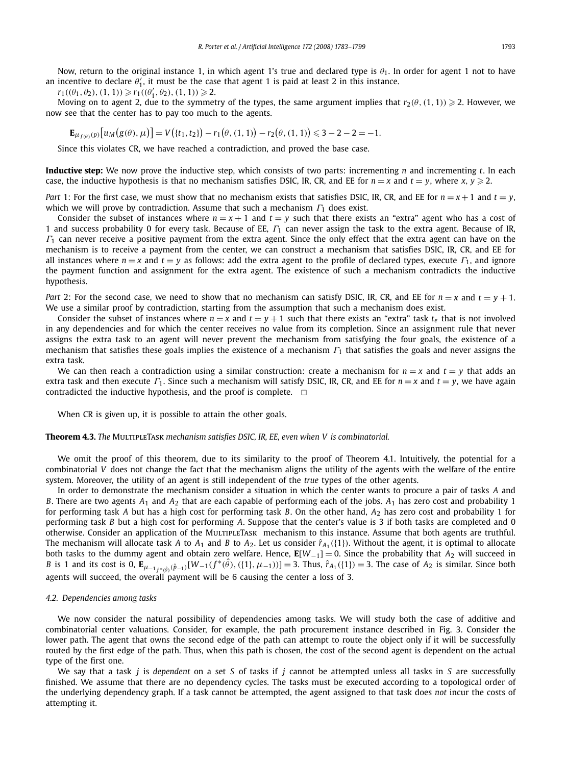Now, return to the original instance 1, in which agent 1's true and declared type is  $\theta_1$ . In order for agent 1 not to have an incentive to declare  $\theta'_1$ , it must be the case that agent 1 is paid at least 2 in this instance.

 $r_1((\theta_1, \theta_2), (1, 1)) \ge r_1((\theta'_1, \theta_2), (1, 1)) \ge 2.$ 

Moving on to agent 2, due to the symmetry of the types, the same argument implies that  $r_2(\theta,(1,1))\geqslant 2.$  However, we now see that the center has to pay too much to the agents.

$$
\mathbf{E}_{\mu_{f(\theta)}(p)}[u_M(g(\theta),\mu)]=V(\{t_1,t_2\})-r_1(\theta,(1,1))-r_2(\theta,(1,1))\leq 3-2-2=-1.
$$

Since this violates CR, we have reached a contradiction, and proved the base case.

**Inductive step:** We now prove the inductive step, which consists of two parts: incrementing *n* and incrementing *t*. In each case, the inductive hypothesis is that no mechanism satisfies DSIC, IR, CR, and EE for  $n = x$  and  $t = y$ , where  $x, y \geqslant 2$ .

*Part* 1: For the first case, we must show that no mechanism exists that satisfies DSIC, IR, CR, and EE for  $n = x + 1$  and  $t = y$ , which we will prove by contradiction. Assume that such a mechanism *Γ*<sup>1</sup> does exist.

Consider the subset of instances where  $n = x + 1$  and  $t = y$  such that there exists an "extra" agent who has a cost of 1 and success probability 0 for every task. Because of EE, *Γ*<sup>1</sup> can never assign the task to the extra agent. Because of IR, *Γ*<sup>1</sup> can never receive a positive payment from the extra agent. Since the only effect that the extra agent can have on the mechanism is to receive a payment from the center, we can construct a mechanism that satisfies DSIC, IR, CR, and EE for all instances where *n* = *x* and *t* = *y* as follows: add the extra agent to the profile of declared types, execute *Γ*1, and ignore the payment function and assignment for the extra agent. The existence of such a mechanism contradicts the inductive hypothesis.

*Part* 2: For the second case, we need to show that no mechanism can satisfy DSIC, IR, CR, and EE for  $n = x$  and  $t = y + 1$ . We use a similar proof by contradiction, starting from the assumption that such a mechanism does exist.

Consider the subset of instances where  $n = x$  and  $t = y + 1$  such that there exists an "extra" task  $t_e$  that is not involved in any dependencies and for which the center receives no value from its completion. Since an assignment rule that never assigns the extra task to an agent will never prevent the mechanism from satisfying the four goals, the existence of a mechanism that satisfies these goals implies the existence of a mechanism *Γ*<sup>1</sup> that satisfies the goals and never assigns the extra task.

We can then reach a contradiction using a similar construction: create a mechanism for  $n = x$  and  $t = y$  that adds an extra task and then execute *Γ*1. Since such a mechanism will satisfy DSIC, IR, CR, and EE for *n* = *x* and *t* = *y*, we have again contradicted the inductive hypothesis, and the proof is complete.  $\Box$ 

When CR is given up, it is possible to attain the other goals.

**Theorem 4.3.** *The* MultipleTask *mechanism satisfies DSIC, IR, EE, even when V is combinatorial.*

We omit the proof of this theorem, due to its similarity to the proof of Theorem 4.1. Intuitively, the potential for a combinatorial *V* does not change the fact that the mechanism aligns the utility of the agents with the welfare of the entire system. Moreover, the utility of an agent is still independent of the *true* types of the other agents.

In order to demonstrate the mechanism consider a situation in which the center wants to procure a pair of tasks *A* and *B*. There are two agents *A*<sup>1</sup> and *A*<sup>2</sup> that are each capable of performing each of the jobs. *A*<sup>1</sup> has zero cost and probability 1 for performing task *A* but has a high cost for performing task *B*. On the other hand, *A*<sup>2</sup> has zero cost and probability 1 for performing task *B* but a high cost for performing *A*. Suppose that the center's value is 3 if both tasks are completed and 0 otherwise. Consider an application of the MultipleTask mechanism to this instance. Assume that both agents are truthful. The mechanism will allocate task *A* to *A*<sub>1</sub> and *B* to *A*<sub>2</sub>. Let us consider  $\hat{r}_{A_1}(\{1\})$ . Without the agent, it is optimal to allocate both tasks to the dummy agent and obtain zero welfare. Hence,  $\mathbf{E}[W_{-1}] = 0$ . Since the probability that  $A_2$  will succeed in *B* is 1 and its cost is 0,  $\mathbf{E}_{\mu_{-1} f *_{(\hat{\mu})}(\hat{p}_{-1})}[W_{-1}(f^*(\hat{\theta}), (\{1\}, \mu_{-1}))]=3$ . Thus,  $\hat{r}_{A_1}(\{1\})=3$ . The case of  $A_2$  is similar. Since both agents will succeed, the overall payment will be 6 causing the center a loss of 3.

#### *4.2. Dependencies among tasks*

We now consider the natural possibility of dependencies among tasks. We will study both the case of additive and combinatorial center valuations. Consider, for example, the path procurement instance described in Fig. 3. Consider the lower path. The agent that owns the second edge of the path can attempt to route the object only if it will be successfully routed by the first edge of the path. Thus, when this path is chosen, the cost of the second agent is dependent on the actual type of the first one.

We say that a task *j* is *dependent* on a set *S* of tasks if *j* cannot be attempted unless all tasks in *S* are successfully finished. We assume that there are no dependency cycles. The tasks must be executed according to a topological order of the underlying dependency graph. If a task cannot be attempted, the agent assigned to that task does *not* incur the costs of attempting it.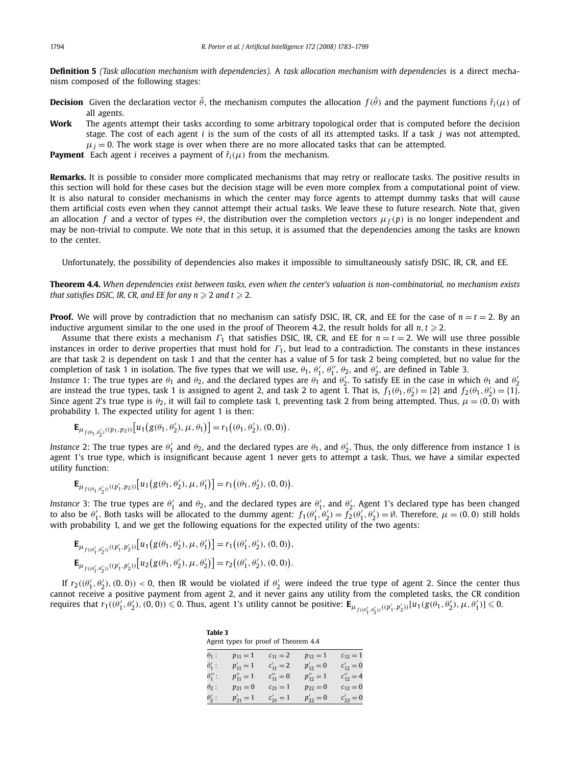**Definition 5** *(Task allocation mechanism with dependencies).* A *task allocation mechanism with dependencies* is a direct mechanism composed of the following stages:

- **Decision** Given the declaration vector  $\hat{\theta}$ , the mechanism computes the allocation  $f(\hat{\theta})$  and the payment functions  $\hat{f}_i(\mu)$  of all agents.
- **Work** The agents attempt their tasks according to some arbitrary topological order that is computed before the decision stage. The cost of each agent *i* is the sum of the costs of all its attempted tasks. If a task *j* was not attempted,  $\mu_i = 0$ . The work stage is over when there are no more allocated tasks that can be attempted.
- **Payment** Each agent *i* receives a payment of  $\hat{r}_i(\mu)$  from the mechanism.

**Remarks.** It is possible to consider more complicated mechanisms that may retry or reallocate tasks. The positive results in this section will hold for these cases but the decision stage will be even more complex from a computational point of view. It is also natural to consider mechanisms in which the center may force agents to attempt dummy tasks that will cause them artificial costs even when they cannot attempt their actual tasks. We leave these to future research. Note that, given an allocation *f* and a vector of types *Θ*, the distribution over the completion vectors *μ<sup>f</sup> (p)* is no longer independent and may be non-trivial to compute. We note that in this setup, it is assumed that the dependencies among the tasks are known to the center.

Unfortunately, the possibility of dependencies also makes it impossible to simultaneously satisfy DSIC, IR, CR, and EE.

**Theorem 4.4.** *When dependencies exist between tasks, even when the center's valuation is non-combinatorial, no mechanism exists* that satisfies DSIC, IR, CR, and EE for any  $n\geqslant 2$  and  $t\geqslant 2.$ 

**Proof.** We will prove by contradiction that no mechanism can satisfy DSIC, IR, CR, and EE for the case of  $n = t = 2$ . By an inductive argument similar to the one used in the proof of Theorem 4.2, the result holds for all  $n, t \geqslant 2$ .

Assume that there exists a mechanism  $\Gamma_1$  that satisfies DSIC, IR, CR, and EE for  $n = t = 2$ . We will use three possible instances in order to derive properties that must hold for *Γ*1, but lead to a contradiction. The constants in these instances are that task 2 is dependent on task 1 and that the center has a value of 5 for task 2 being completed, but no value for the completion of task 1 in isolation. The five types that we will use,  $\theta_1$ ,  $\theta'_1$ ,  $\theta''_1$ ,  $\theta_2$ , and  $\theta'_2$ , are defined in Table 3.

*Instance* 1: The true types are  $\theta_1$  and  $\theta_2$ , and the declared types are  $\theta_1$  and  $\theta'_2$ . To satisfy EE in the case in which  $\theta_1$  and  $\theta'_2$ are instead the true types, task 1 is assigned to agent 2, and task 2 to agent 1. That is,  $f_1(\theta_1, \theta_2') = \{2\}$  and  $f_2(\theta_1, \theta_2') = \{1\}$ . Since agent 2's true type is  $θ_2$ , it will fail to complete task 1, preventing task 2 from being attempted. Thus,  $μ = (0, 0)$  with probability 1. The expected utility for agent 1 is then:

$$
\mathbf{E}_{\mu_{f(\theta_1,\theta_2')}(p_1,p_2))}[u_1(g(\theta_1,\theta_2'),\mu,\theta_1)] = r_1((\theta_1,\theta_2'),(0,0)).
$$

*Instance* 2: The true types are  $\theta'_1$  and  $\theta_2$ , and the declared types are  $\theta_1$ , and  $\theta'_2$ . Thus, the only difference from instance 1 is agent 1's true type, which is insignificant because agent 1 never gets to attempt a task. Thus, we have a similar expected utility function:

$$
\mathbf{E}_{\mu_{f((\theta_1,\theta_2'))}((p_1',p_2))}[u_1(g(\theta_1,\theta_2'),\mu,\theta_1')] = r_1((\theta_1,\theta_2'),(0,0)).
$$

*Instance* 3: The true types are  $\theta'_1$  and  $\theta_2$ , and the declared types are  $\theta'_1$ , and  $\theta'_2$ . Agent 1's declared type has been changed to also be  $θ'_1$ . Both tasks will be allocated to the dummy agent:  $f_1(θ'_1, θ'_2) = f_2(θ'_1, θ'_2) = ∅$ . Therefore,  $μ = (0, 0)$  still holds with probability 1, and we get the following equations for the expected utility of the two agents:

$$
\mathbf{E}_{\mu_{f((\theta_1', \theta_2'))}((p_1', p_2'))}[u_1(g(\theta_1, \theta_2'), \mu, \theta_1')] = r_1((\theta_1', \theta_2'), (0, 0)),
$$
  
\n
$$
\mathbf{E}_{\mu_{f((\theta_1', \theta_2'))}((p_1', p_2'))}[u_2(g(\theta_1, \theta_2'), \mu, \theta_2')] = r_2((\theta_1', \theta_2'), (0, 0)).
$$

**Table 3**

If  $r_2((\theta'_1, \theta'_2), (0, 0)) < 0$ , then IR would be violated if  $\theta'_2$  were indeed the true type of agent 2. Since the center thus cannot receive a positive payment from agent 2, and it never gains any utility from the completed tasks, the CR condition requires that  $r_1((\theta'_1,\theta'_2), (0,0)) \leq 0$ . Thus, agent 1's utility cannot be positive:  $\mathbf{E}_{\mu_{f((\theta'_1,\theta'_2))}((p'_1,p'_2))}[u_1(g(\theta_1,\theta'_2),\mu,\theta'_1)] \leq 0$ .

| Agent types for proof of Theorem 4.4 |                |                |                |                |
|--------------------------------------|----------------|----------------|----------------|----------------|
| $\theta_1$ :                         | $p_{11} = 1$   | $c_{11} = 2$   | $p_{12}=1$     | $c_{12} = 1$   |
| $\theta_1':$                         | $p'_{11} = 1$  | $c'_{11} = 2$  | $p'_{12} = 0$  | $c'_{12} = 0$  |
| $\theta''_1$ :                       | $p''_{11} = 1$ | $c''_{11} = 0$ | $p_{12}'' = 1$ | $c''_{12} = 4$ |
| $\theta_2$ :                         | $p_{21} = 0$   | $c_{21} = 1$   | $p_{22} = 0$   | $c_{12}=0$     |
| $\theta_2$ :                         | $p'_{21} = 1$  | $c'_{21} = 1$  | $p'_{22} = 0$  | $c'_{22} = 0$  |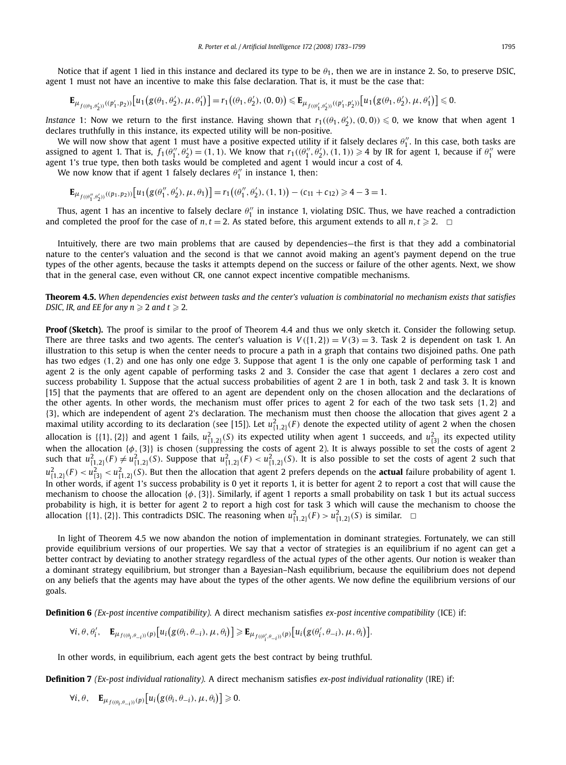Notice that if agent 1 lied in this instance and declared its type to be  $\theta_1$ , then we are in instance 2. So, to preserve DSIC, agent 1 must not have an incentive to make this false declaration. That is, it must be the case that:

$$
\mathbf{E}_{\mu_{f((\theta_1,\theta_2'))}((p_1',p_2))}\big[u_1\big(g(\theta_1,\theta_2'),\mu,\theta_1'\big)\big]=r_1\big((\theta_1,\theta_2'),(0,0)\big)\leqslant \mathbf{E}_{\mu_{f((\theta_1',\theta_2'))}((p_1',p_2'))}\big[u_1\big(g(\theta_1,\theta_2'),\mu,\theta_1'\big)\big]\leqslant 0.
$$

*Instance* 1: Now we return to the first instance. Having shown that  $r_1((\theta_1, \theta_2'), (0, 0)) \le 0$ , we know that when agent 1 declares truthfully in this instance, its expected utility will be non-positive.

We will now show that agent 1 must have a positive expected utility if it falsely declares  $\theta''_1$ . In this case, both tasks are assigned to agent 1. That is,  $f_1(\theta_1'', \theta_2') = (1, 1)$ . We know that  $r_1((\theta_1'', \theta_2'), (1, 1)) \ge 4$  by IR for agent 1, because if  $\theta_1''$  were agent 1's true type, then both tasks would be completed and agent 1 would incur a co

We now know that if agent 1 falsely declares  $\theta_1''$  in instance 1, then:

 $\mathbf{E}_{\mu_{f((\theta_1'', \theta_2'))}((p_1, p_2))}[u_1(g(\theta_1'', \theta_2'), \mu, \theta_1)] = r_1((\theta_1'', \theta_2'), (1, 1)) - (c_{11} + c_{12}) \geq 4 - 3 = 1.$ 

Thus, agent 1 has an incentive to falsely declare  $\theta_1''$  in instance 1, violating DSIC. Thus, we have reached a contradiction and completed the proof for the case of *n*,  $t = 2$ . As stated before, this argument extends to all *n*,  $t \ge 2$ .  $\Box$ 

Intuitively, there are two main problems that are caused by dependencies—the first is that they add a combinatorial nature to the center's valuation and the second is that we cannot avoid making an agent's payment depend on the true types of the other agents, because the tasks it attempts depend on the success or failure of the other agents. Next, we show that in the general case, even without CR, one cannot expect incentive compatible mechanisms.

**Theorem 4.5.** *When dependencies exist between tasks and the center's valuation is combinatorial no mechanism exists that satisfies* DSIC, IR, and EE for any  $n\geqslant 2$  and  $t\geqslant 2.$ 

**Proof (Sketch).** The proof is similar to the proof of Theorem 4.4 and thus we only sketch it. Consider the following setup. There are three tasks and two agents. The center's valuation is  $V({1, 2}) = V(3) = 3$ . Task 2 is dependent on task 1. An illustration to this setup is when the center needs to procure a path in a graph that contains two disjoined paths. One path has two edges *(*1*,* 2*)* and one has only one edge 3. Suppose that agent 1 is the only one capable of performing task 1 and agent 2 is the only agent capable of performing tasks 2 and 3. Consider the case that agent 1 declares a zero cost and success probability 1. Suppose that the actual success probabilities of agent 2 are 1 in both, task 2 and task 3. It is known [15] that the payments that are offered to an agent are dependent only on the chosen allocation and the declarations of the other agents. In other words, the mechanism must offer prices to agent 2 for each of the two task sets {1*,* 2} and {3}, which are independent of agent 2's declaration. The mechanism must then choose the allocation that gives agent 2 a maximal utility according to its declaration (see [15]). Let  $u^2_{\{1,2\}}(F)$  denote the expected utility of agent 2 when the chosen allocation is {{1}, {2}} and agent 1 fails,  $u_{\{1,2\}}^2(S)$  its expected utility when agent 1 succeeds, and  $u_{\{3\}}^2$  its expected utility when the allocation {*φ,*{3}} is chosen (suppressing the costs of agent 2). It is always possible to set the costs of agent 2 such that  $u_{\{1,2\}}^2(F) \neq u_{\{1,2\}}^2(S)$ . Suppose that  $u_{\{1,2\}}^2(F) < u_{\{1,2\}}^2(S)$ . It is also possible to set the costs of agent 2 such that  $u^2_{\{1,2\}}(F) < u^2_{\{3\}} < u^2_{\{1,2\}}(S)$ . But then the allocation that agent 2 prefers depends on the **actual** failure probability of agent 1. In other words, if agent 1's success probability is 0 yet it reports 1, it is better for agent 2 to report a cost that will cause the mechanism to choose the allocation {*φ,*{3}}. Similarly, if agent 1 reports a small probability on task 1 but its actual success probability is high, it is better for agent 2 to report a high cost for task 3 which will cause the mechanism to choose the allocation {{1}, {2}}. This contradicts DSIC. The reasoning when  $u_{\{1,2\}}^2(F) > u_{\{1,2\}}^2(S)$  is similar.  $\Box$ 

In light of Theorem 4.5 we now abandon the notion of implementation in dominant strategies. Fortunately, we can still provide equilibrium versions of our properties. We say that a vector of strategies is an equilibrium if no agent can get a better contract by deviating to another strategy regardless of the actual *types* of the other agents. Our notion is weaker than a dominant strategy equilibrium, but stronger than a Bayesian–Nash equilibrium, because the equilibrium does not depend on any beliefs that the agents may have about the types of the other agents. We now define the equilibrium versions of our goals.

**Definition 6** *(Ex-post incentive compatibility).* A direct mechanism satisfies *ex-post incentive compatibility* (ICE) if:

$$
\forall i, \theta, \theta'_i, \quad \mathbf{E}_{\mu_{f((\theta_i, \theta_{-i}))}(p)}\big[u_i\big(g(\theta_i, \theta_{-i}), \mu, \theta_i\big)\big] \geqslant \mathbf{E}_{\mu_{f((\theta'_i, \theta_{-i}))}(p)}\big[u_i\big(g(\theta'_i, \theta_{-i}), \mu, \theta_i\big)\big].
$$

In other words, in equilibrium, each agent gets the best contract by being truthful.

**Definition 7** *(Ex-post individual rationality).* A direct mechanism satisfies *ex-post individual rationality* (IRE) if:

 $\forall i, \theta, \quad \mathbf{E}_{\mu_{f((\theta_i, \theta_{-i}))}(p)}[u_i(g(\theta_i, \theta_{-i}), \mu, \theta_i)] \geq 0.$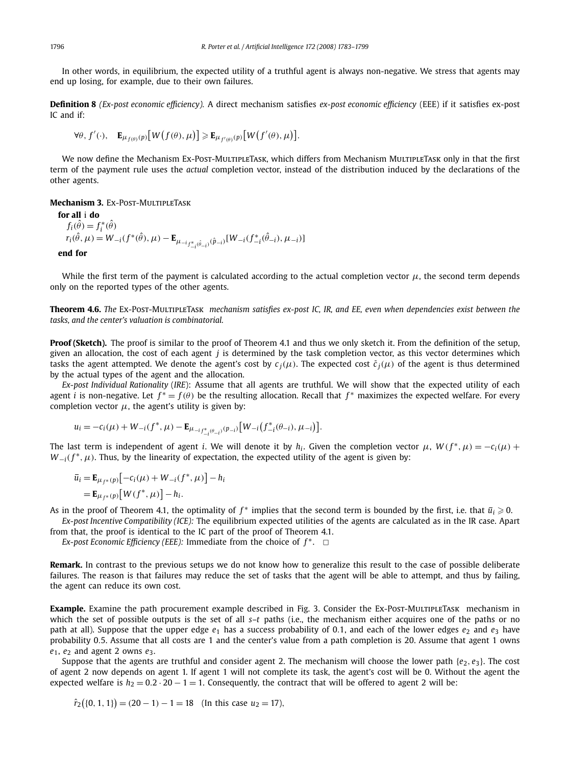In other words, in equilibrium, the expected utility of a truthful agent is always non-negative. We stress that agents may end up losing, for example, due to their own failures.

**Definition 8** *(Ex-post economic efficiency).* A direct mechanism satisfies *ex-post economic efficiency* (EEE) if it satisfies ex-post IC and if:

$$
\forall \theta, f'(\cdot), \quad \mathbf{E}_{\mu_{f(\theta)}(p)}[W\big(f(\theta), \mu\big)] \geqslant \mathbf{E}_{\mu_{f'(\theta)}(p)}[W\big(f'(\theta), \mu\big)].
$$

We now define the Mechanism Ex-Post-MultipleTask, which differs from Mechanism MultipleTask only in that the first term of the payment rule uses the *actual* completion vector, instead of the distribution induced by the declarations of the other agents.

**Mechanism 3. Ex-Post-MULTIPLETASK** 

**for all** i **do**  $f_i(\hat{\theta}) = f_i^*(\hat{\theta})$  $r_i(\hat{\theta}, \mu) = W_{-i}(f^*(\hat{\theta}), \mu) - \mathbf{E}_{\mu_{-i}f^*_{-i}(\hat{\theta}_{-i})}(\hat{p}_{-i})[W_{-i}(f^*_{-i}(\hat{\theta}_{-i}), \mu_{-i})]$ **end for**

While the first term of the payment is calculated according to the actual completion vector  $\mu$ , the second term depends only on the reported types of the other agents.

**Theorem 4.6.** *The* Ex-Post-MultipleTask *mechanism satisfies ex-post IC, IR, and EE, even when dependencies exist between the tasks, and the center's valuation is combinatorial.*

**Proof (Sketch).** The proof is similar to the proof of Theorem 4.1 and thus we only sketch it. From the definition of the setup, given an allocation, the cost of each agent *j* is determined by the task completion vector, as this vector determines which tasks the agent attempted. We denote the agent's cost by  $c_j(\mu)$ . The expected cost  $\bar{c}_j(\mu)$  of the agent is thus determined by the actual types of the agent and the allocation.

*Ex-post Individual Rationality* (*IRE*): Assume that all agents are truthful. We will show that the expected utility of each agent *i* is non-negative. Let  $f^* = f(\theta)$  be the resulting allocation. Recall that  $f^*$  maximizes the expected welfare. For every completion vector  $\mu$ , the agent's utility is given by:

$$
u_i = -c_i(\mu) + W_{-i}(f^*, \mu) - \mathbf{E}_{\mu_{-i}f^*_{-i}(\theta_{-i})}(p_{-i})[W_{-i}(f^*_{-i}(\theta_{-i}), \mu_{-i})].
$$

The last term is independent of agent *i*. We will denote it by  $h_i$ . Given the completion vector  $\mu$ ,  $W(f^*, \mu) = -c_i(\mu) + c_i(\mu)$  $W_{-i}(f^*, \mu)$ . Thus, by the linearity of expectation, the expected utility of the agent is given by:

$$
\overline{u}_i = \mathbf{E}_{\mu_{f^*}(p)}[-c_i(\mu) + W_{-i}(f^*, \mu)] - h_i
$$
  
=  $\mathbf{E}_{\mu_{f^*}(p)}[W(f^*, \mu)] - h_i.$ 

As in the proof of Theorem 4.1, the optimality of  $f^*$  implies that the second term is bounded by the first, i.e. that  $\bar{u}_i\geqslant 0$ . *Ex-post Incentive Compatibility (ICE):* The equilibrium expected utilities of the agents are calculated as in the IR case. Apart

from that, the proof is identical to the IC part of the proof of Theorem 4.1.

*Ex-post Economic Efficiency (EEE):* Immediate from the choice of *f*<sup>\*</sup>. □

**Remark.** In contrast to the previous setups we do not know how to generalize this result to the case of possible deliberate failures. The reason is that failures may reduce the set of tasks that the agent will be able to attempt, and thus by failing, the agent can reduce its own cost.

**Example.** Examine the path procurement example described in Fig. 3. Consider the Ex-Post-MULTIPLETASK mechanism in which the set of possible outputs is the set of all *s*–*t* paths (i.e., the mechanism either acquires one of the paths or no path at all). Suppose that the upper edge  $e_1$  has a success probability of 0.1, and each of the lower edges  $e_2$  and  $e_3$  have probability 0*.*5. Assume that all costs are 1 and the center's value from a path completion is 20. Assume that agent 1 owns *e*1, *e*<sup>2</sup> and agent 2 owns *e*3.

Suppose that the agents are truthful and consider agent 2. The mechanism will choose the lower path  $\{e_2, e_3\}$ . The cost of agent 2 now depends on agent 1. If agent 1 will not complete its task, the agent's cost will be 0. Without the agent the expected welfare is  $h_2 = 0.2 \cdot 20 - 1 = 1$ . Consequently, the contract that will be offered to agent 2 will be:

 $\hat{r}_2$ ({0, 1, 1}) = (20 - 1) - 1 = 18 (In this case  $u_2$  = 17)*,*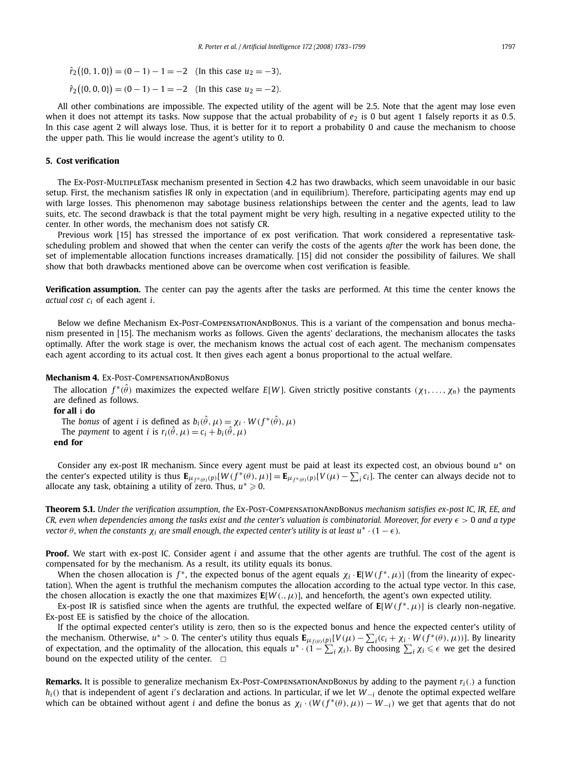$$
\hat{r}_2(\{0, 1, 0\}) = (0 - 1) - 1 = -2 \quad \text{(In this case } u_2 = -3\text{)},
$$

$$
\hat{r}_2
$$
{0, 0, 0}) = (0 - 1) - 1 = -2 (In this case  $u_2 = -2$ ).

All other combinations are impossible. The expected utility of the agent will be 2.5. Note that the agent may lose even when it does not attempt its tasks. Now suppose that the actual probability of  $e_2$  is 0 but agent 1 falsely reports it as 0.5. In this case agent 2 will always lose. Thus, it is better for it to report a probability 0 and cause the mechanism to choose the upper path. This lie would increase the agent's utility to 0.

# **5. Cost verification**

The Ex-Post-MultipleTask mechanism presented in Section 4.2 has two drawbacks, which seem unavoidable in our basic setup. First, the mechanism satisfies IR only in expectation (and in equilibrium). Therefore, participating agents may end up with large losses. This phenomenon may sabotage business relationships between the center and the agents, lead to law suits, etc. The second drawback is that the total payment might be very high, resulting in a negative expected utility to the center. In other words, the mechanism does not satisfy CR.

Previous work [15] has stressed the importance of ex post verification. That work considered a representative taskscheduling problem and showed that when the center can verify the costs of the agents *after* the work has been done, the set of implementable allocation functions increases dramatically. [15] did not consider the possibility of failures. We shall show that both drawbacks mentioned above can be overcome when cost verification is feasible.

**Verification assumption.** The center can pay the agents after the tasks are performed. At this time the center knows the *actual cost ci* of each agent *i*.

Below we define Mechanism Ex-Post-CompensationAnpBonus. This is a variant of the compensation and bonus mechanism presented in [15]. The mechanism works as follows. Given the agents' declarations, the mechanism allocates the tasks optimally. After the work stage is over, the mechanism knows the actual cost of each agent. The mechanism compensates each agent according to its actual cost. It then gives each agent a bonus proportional to the actual welfare.

#### **Mechanism 4. Ex-Post-CompensationAndBonus**

The allocation  $f^*(\hat{\theta})$  maximizes the expected welfare  $E[W]$ . Given strictly positive constants  $(\chi_1, \ldots, \chi_n)$  the payments are defined as follows.

**for all** i **do**

The *bonus* of agent *i* is defined as  $b_i(\hat{\theta}, \mu) = \chi_i \cdot W(f^*(\hat{\theta}), \mu)$ The *payment* to agent *i* is  $r_i(\hat{\theta}, \mu) = c_i + b_i(\hat{\theta}, \mu)$ 

**end for**

Consider any ex-post IR mechanism. Since every agent must be paid at least its expected cost, an obvious bound *u*<sup>∗</sup> on the center's expected utility is thus  $\mathbf{E}_{\mu_{f^*(\theta)}(p)}[W(f^*(\theta),\mu)] = \mathbf{E}_{\mu_{f^*(\theta)}(p)}[V(\mu) - \sum_i c_i]$ . The center can always decide not to allocate any task, obtaining a utility of zero. Thus,  $u^* \geqslant 0$ .

**Theorem 5.1.** *Under the verification assumption, the* Ex-Post-CompensationAndBonus *mechanism satisfies ex-post IC, IR, EE, and CR, even when dependencies among the tasks exist and the center's valuation is combinatorial. Moreover, for every*  $\epsilon > 0$  and a type *vector*  $\theta$ , when the constants  $\chi_i$  are small enough, the expected center's utility is at least  $u^* \cdot (1 - \epsilon)$ .

**Proof.** We start with ex-post IC. Consider agent *i* and assume that the other agents are truthful. The cost of the agent is compensated for by the mechanism. As a result, its utility equals its bonus.

When the chosen allocation is  $f^*$ , the expected bonus of the agent equals  $\chi_i \cdot \mathbf{E}[W(f^*, \mu)]$  (from the linearity of expectation). When the agent is truthful the mechanism computes the allocation according to the actual type vector. In this case, the chosen allocation is exactly the one that maximizes  $E[W(., \mu)]$ , and henceforth, the agent's own expected utility.

Ex-post IR is satisfied since when the agents are truthful, the expected welfare of  $E[W(f^*, \mu)]$  is clearly non-negative. Ex-post EE is satisfied by the choice of the allocation.

If the optimal expected center's utility is zero, then so is the expected bonus and hence the expected center's utility of the mechanism. Otherwise,  $u^* > 0$ . The center's utility thus equals  $\mathbf{E}_{\mu_{f(\theta)}(p)}[V(\mu) - \sum_i (c_i + \chi_i \cdot W(f^*(\theta), \mu))]$ . By linearity of expectation, and the optimality of the allocation, this equals  $u^* \cdot (1 - \sum_i \chi_i)$ . By choosing  $\sum_i \chi_i \leq \epsilon$  we get the desired bound on the expected utility of the center.  $\Box$ 

**Remarks.** It is possible to generalize mechanism Ex-Post-CompensationAndBonus by adding to the payment *ri(.)* a function *h*<sub>*i*</sub>() that is independent of agent *i'*s declaration and actions. In particular, if we let *W*<sub>−*i*</sub> denote the optimal expected welfare which can be obtained without agent *i* and define the bonus as  $\chi_i \cdot (W(f^*(\theta), \mu)) - W_{-i}$  we get that agents that do not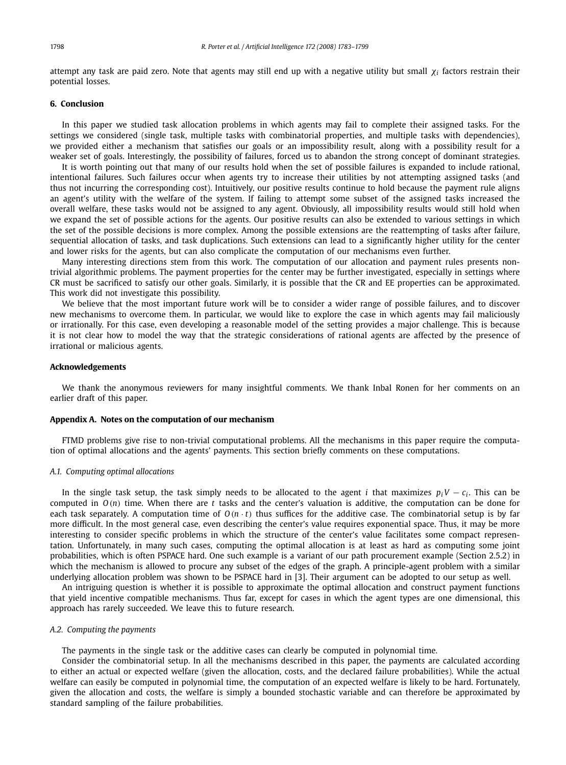attempt any task are paid zero. Note that agents may still end up with a negative utility but small *χ<sup>i</sup>* factors restrain their potential losses.

## **6. Conclusion**

In this paper we studied task allocation problems in which agents may fail to complete their assigned tasks. For the settings we considered (single task, multiple tasks with combinatorial properties, and multiple tasks with dependencies), we provided either a mechanism that satisfies our goals or an impossibility result, along with a possibility result for a weaker set of goals. Interestingly, the possibility of failures, forced us to abandon the strong concept of dominant strategies.

It is worth pointing out that many of our results hold when the set of possible failures is expanded to include rational, intentional failures. Such failures occur when agents try to increase their utilities by not attempting assigned tasks (and thus not incurring the corresponding cost). Intuitively, our positive results continue to hold because the payment rule aligns an agent's utility with the welfare of the system. If failing to attempt some subset of the assigned tasks increased the overall welfare, these tasks would not be assigned to any agent. Obviously, all impossibility results would still hold when we expand the set of possible actions for the agents. Our positive results can also be extended to various settings in which the set of the possible decisions is more complex. Among the possible extensions are the reattempting of tasks after failure, sequential allocation of tasks, and task duplications. Such extensions can lead to a significantly higher utility for the center and lower risks for the agents, but can also complicate the computation of our mechanisms even further.

Many interesting directions stem from this work. The computation of our allocation and payment rules presents nontrivial algorithmic problems. The payment properties for the center may be further investigated, especially in settings where CR must be sacrificed to satisfy our other goals. Similarly, it is possible that the CR and EE properties can be approximated. This work did not investigate this possibility.

We believe that the most important future work will be to consider a wider range of possible failures, and to discover new mechanisms to overcome them. In particular, we would like to explore the case in which agents may fail maliciously or irrationally. For this case, even developing a reasonable model of the setting provides a major challenge. This is because it is not clear how to model the way that the strategic considerations of rational agents are affected by the presence of irrational or malicious agents.

#### **Acknowledgements**

We thank the anonymous reviewers for many insightful comments. We thank Inbal Ronen for her comments on an earlier draft of this paper.

#### **Appendix A. Notes on the computation of our mechanism**

FTMD problems give rise to non-trivial computational problems. All the mechanisms in this paper require the computation of optimal allocations and the agents' payments. This section briefly comments on these computations.

#### *A.1. Computing optimal allocations*

In the single task setup, the task simply needs to be allocated to the agent *i* that maximizes  $p_i V - c_i$ . This can be computed in  $O(n)$  time. When there are  $t$  tasks and the center's valuation is additive, the computation can be done for each task separately. A computation time of  $O(n \cdot t)$  thus suffices for the additive case. The combinatorial setup is by far more difficult. In the most general case, even describing the center's value requires exponential space. Thus, it may be more interesting to consider specific problems in which the structure of the center's value facilitates some compact representation. Unfortunately, in many such cases, computing the optimal allocation is at least as hard as computing some joint probabilities, which is often PSPACE hard. One such example is a variant of our path procurement example (Section 2.5.2) in which the mechanism is allowed to procure any subset of the edges of the graph. A principle-agent problem with a similar underlying allocation problem was shown to be PSPACE hard in [3]. Their argument can be adopted to our setup as well.

An intriguing question is whether it is possible to approximate the optimal allocation and construct payment functions that yield incentive compatible mechanisms. Thus far, except for cases in which the agent types are one dimensional, this approach has rarely succeeded. We leave this to future research.

#### *A.2. Computing the payments*

The payments in the single task or the additive cases can clearly be computed in polynomial time.

Consider the combinatorial setup. In all the mechanisms described in this paper, the payments are calculated according to either an actual or expected welfare (given the allocation, costs, and the declared failure probabilities). While the actual welfare can easily be computed in polynomial time, the computation of an expected welfare is likely to be hard. Fortunately, given the allocation and costs, the welfare is simply a bounded stochastic variable and can therefore be approximated by standard sampling of the failure probabilities.